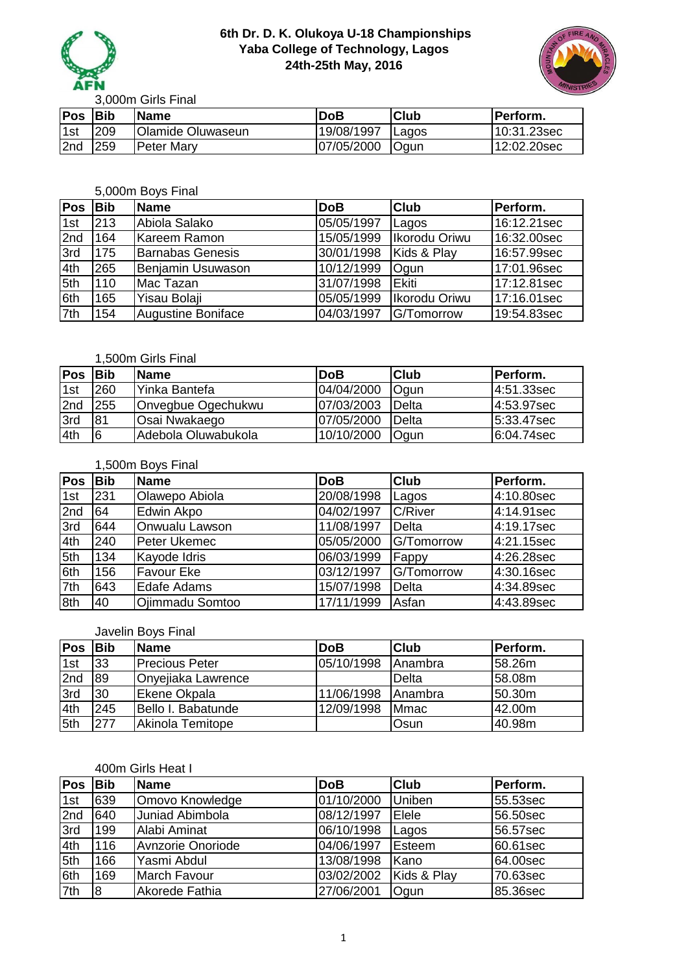



3,000m Girls Final

| <b>Pos</b>      | lBib | <b>Name</b>              | DoB        | <b>Club</b>  | 'Perform.   |
|-----------------|------|--------------------------|------------|--------------|-------------|
| 1 <sub>st</sub> | 209  | <b>Olamide Oluwaseun</b> | 19/08/1997 | <b>Lagos</b> | 10:31.23sec |
| 2nd             | 259  | <b>Peter Mary</b>        | 07/05/2000 | <b>Oqun</b>  | 12:02.20sec |

## 5,000m Boys Final

| Pos | <b>Bib</b> | <b>Name</b>               | <b>DoB</b> | <b>Club</b>   | Perform.    |
|-----|------------|---------------------------|------------|---------------|-------------|
| 1st | 213        | Abiola Salako             | 05/05/1997 | Lagos         | 16:12.21sec |
| 2nd | 164        | Kareem Ramon              | 15/05/1999 | Ikorodu Oriwu | 16:32.00sec |
| 3rd | 175        | <b>Barnabas Genesis</b>   | 30/01/1998 | Kids & Play   | 16:57.99sec |
| 4th | 265        | Benjamin Usuwason         | 10/12/1999 | Ogun          | 17:01.96sec |
| 5th | 110        | Mac Tazan                 | 31/07/1998 | <b>IEkiti</b> | 17:12.81sec |
| 6th | 165        | Yisau Bolaji              | 05/05/1999 | Ikorodu Oriwu | 17:16.01sec |
| 7th | 154        | <b>Augustine Boniface</b> | 04/03/1997 | G/Tomorrow    | 19:54.83sec |

### 1,500m Girls Final

| <b>Pos</b> | <b>Bib</b> | <b>Name</b>         | <b>DoB</b> | <b>Club</b>  | <b>Perform.</b> |
|------------|------------|---------------------|------------|--------------|-----------------|
| 1st        | 260        | lYinka Bantefa      | 04/04/2000 | <b>Ogun</b>  | 4:51.33sec      |
| 2nd        | 255        | Onvegbue Ogechukwu  | 07/03/2003 | Delta        | 14:53.97sec     |
| 3rd        | 81         | Osai Nwakaego       | 07/05/2000 | Delta        | $5:33.47$ sec   |
| 4th        | 16         | Adebola Oluwabukola | 10/10/2000 | <b>O</b> qun | 6:04.74sec      |

#### 1,500m Boys Final

| Pos | <b>Bib</b> | <b>Name</b>        | <b>DoB</b> | <b>Club</b> | Perform.   |
|-----|------------|--------------------|------------|-------------|------------|
| 1st | 231        | Olawepo Abiola     | 20/08/1998 | Lagos       | 4:10.80sec |
| 2nd | 64         | Edwin Akpo         | 04/02/1997 | C/River     | 4:14.91sec |
| 3rd | 644        | Onwualu Lawson     | 11/08/1997 | Delta       | 4:19.17sec |
| 4th | 240        | Peter Ukemec       | 05/05/2000 | G/Tomorrow  | 4:21.15sec |
| 5th | 134        | Kayode Idris       | 06/03/1999 | Fappy       | 4:26.28sec |
| 6th | 156        | <b>Favour Eke</b>  | 03/12/1997 | G/Tomorrow  | 4:30.16sec |
| 7th | 643        | <b>Edafe Adams</b> | 15/07/1998 | Delta       | 4:34.89sec |
| 8th | 40         | Ojimmadu Somtoo    | 17/11/1999 | Asfan       | 4:43.89sec |

#### Javelin Boys Final

| <b>Pos</b> | <b>IBib</b> | <b>Name</b>           | <b>DoB</b> | <b>Club</b>    | <b>Perform.</b> |
|------------|-------------|-----------------------|------------|----------------|-----------------|
| 1st        | 33          | <b>Precious Peter</b> | 05/10/1998 | <b>Anambra</b> | 158.26m         |
| 2nd        | 89          | Onyejiaka Lawrence    |            | Delta          | 58.08m          |
| 3rd        | 30          | Ekene Okpala          | 11/06/1998 | <b>Anambra</b> | 50.30m          |
| 4th        | 245         | Bello I. Babatunde    | 12/09/1998 | <b>Mmac</b>    | 42.00m          |
| 5th        | 277         | Akinola Temitope      |            | Osun           | 40.98m          |

### 400m Girls Heat I

| <b>Pos</b> | <b>Bib</b> | <b>Name</b>         | <b>DoB</b> | <b>Club</b>   | Perform. |
|------------|------------|---------------------|------------|---------------|----------|
| 1st        | 639        | Omovo Knowledge     | 01/10/2000 | <b>Uniben</b> | 55.53sec |
| 2nd        | 640        | Juniad Abimbola     | 08/12/1997 | Elele         | 56.50sec |
| 3rd        | 199        | <b>Alabi Aminat</b> | 06/10/1998 | Lagos         | 56.57sec |
| 4th        | 116        | Avnzorie Onoriode   | 04/06/1997 | Esteem        | 60.61sec |
| 5th        | 166        | Yasmi Abdul         | 13/08/1998 | <b>IKano</b>  | 64.00sec |
| 6th        | 169        | <b>March Favour</b> | 03/02/2002 | Kids & Play   | 70.63sec |
| 7th        | l8         | Akorede Fathia      | 27/06/2001 | Ogun          | 85.36sec |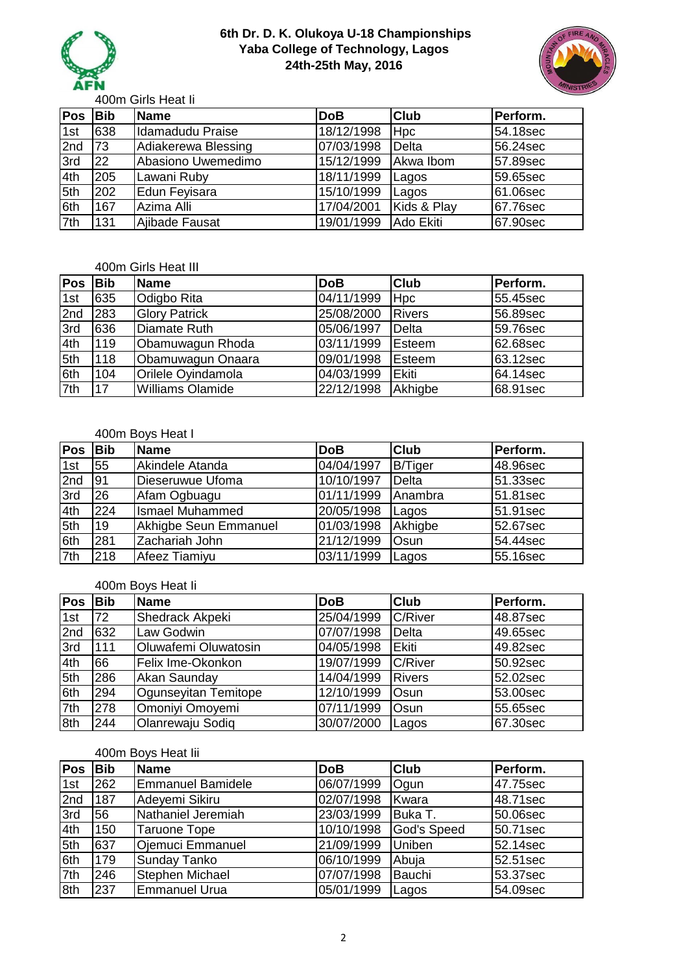



400m Girls Heat Ii

| <b>Pos</b> | <b>Bib</b> | <b>Name</b>         | <b>DoB</b> | <b>Club</b> | Perform. |
|------------|------------|---------------------|------------|-------------|----------|
| 1st        | 638        | Idamadudu Praise    | 18/12/1998 | <b>Hpc</b>  | 54.18sec |
| 2nd        | 173        | Adiakerewa Blessing | 07/03/1998 | Delta       | 56.24sec |
| 3rd        | <b>22</b>  | Abasiono Uwemedimo  | 15/12/1999 | Akwa Ibom   | 57.89sec |
| 4th        | 205        | Lawani Ruby         | 18/11/1999 | Lagos       | 59.65sec |
| 5th        | 202        | Edun Feyisara       | 15/10/1999 | Lagos       | 61.06sec |
| 6th        | 167        | Azima Alli          | 17/04/2001 | Kids & Play | 67.76sec |
| 7th        | 131        | Ajibade Fausat      | 19/01/1999 | Ado Ekiti   | 67.90sec |

#### 400m Girls Heat III

| Pos | <b>Bib</b> | Name                 | <b>DoB</b> | <b>Club</b>   | Perform. |
|-----|------------|----------------------|------------|---------------|----------|
| 1st | 635        | <b>Odigbo Rita</b>   | 04/11/1999 | <b>Hpc</b>    | 55.45sec |
| 2nd | 283        | <b>Glory Patrick</b> | 25/08/2000 | <b>Rivers</b> | 56.89sec |
| 3rd | 636        | <b>Diamate Ruth</b>  | 05/06/1997 | Delta         | 59.76sec |
| 4th | 119        | Obamuwagun Rhoda     | 03/11/1999 | Esteem        | 62.68sec |
| 5th | 118        | Obamuwagun Onaara    | 09/01/1998 | Esteem        | 63.12sec |
| 6th | 104        | Orilele Oyindamola   | 04/03/1999 | <b>IEkiti</b> | 64.14sec |
| 7th | 17         | Williams Olamide     | 22/12/1998 | Akhigbe       | 68.91sec |

## 400m Boys Heat I

| <b>Pos</b> | <b>Bib</b> | Name                   | <b>DoB</b> | <b>Club</b>    | Perform. |
|------------|------------|------------------------|------------|----------------|----------|
| 1st        | 55         | Akindele Atanda        | 04/04/1997 | <b>B/Tiger</b> | 48.96sec |
| 2nd        | 191        | Dieseruwue Ufoma       | 10/10/1997 | Delta          | 51.33sec |
| 3rd        | 26         | Afam Ogbuagu           | 01/11/1999 | Anambra        | 51.81sec |
| 4th        | 224        | <b>Ismael Muhammed</b> | 20/05/1998 | Lagos          | 51.91sec |
| 5th        | 19         | Akhigbe Seun Emmanuel  | 01/03/1998 | Akhigbe        | 52.67sec |
| 6th        | 281        | Zachariah John         | 21/12/1999 | Osun           | 54.44sec |
| 7th        | 218        | Afeez Tiamiyu          | 03/11/1999 | Lagos          | 55.16sec |

## 400m Boys Heat Ii

| <b>Pos</b> | <b>Bib</b> | <b>Name</b>          | <b>DoB</b> | <b>Club</b>    | Perform. |
|------------|------------|----------------------|------------|----------------|----------|
| 1st        | 72         | Shedrack Akpeki      | 25/04/1999 | <b>C/River</b> | 48.87sec |
| 2nd        | 632        | Law Godwin           | 07/07/1998 | Delta          | 49.65sec |
| 3rd        | 111        | Oluwafemi Oluwatosin | 04/05/1998 | Ekiti          | 49.82sec |
| 4th        | 66         | Felix Ime-Okonkon    | 19/07/1999 | C/River        | 50.92sec |
| 5th        | 286        | Akan Saunday         | 14/04/1999 | <b>Rivers</b>  | 52.02sec |
| 6th        | 294        | Ogunseyitan Temitope | 12/10/1999 | Osun           | 53.00sec |
| 7th        | 278        | Omoniyi Omoyemi      | 07/11/1999 | Osun           | 55.65sec |
| 8th        | 244        | Olanrewaju Sodig     | 30/07/2000 | Lagos          | 67.30sec |

#### 400m Boys Heat Iii

| <b>Pos</b> | <b>Bib</b> | <b>Name</b>              | <b>DoB</b> | <b>Club</b> | Perform. |
|------------|------------|--------------------------|------------|-------------|----------|
| 1st        | 262        | <b>Emmanuel Bamidele</b> | 06/07/1999 | Ogun        | 47.75sec |
| 2nd        | 187        | Adeyemi Sikiru           | 02/07/1998 | Kwara       | 48.71sec |
| 3rd        | 56         | Nathaniel Jeremiah       | 23/03/1999 | Buka T.     | 50.06sec |
| 4th        | 150        | <b>Taruone Tope</b>      | 10/10/1998 | God's Speed | 50.71sec |
| 5th        | 637        | Ojemuci Emmanuel         | 21/09/1999 | Uniben      | 52.14sec |
| 6th        | 179        | <b>Sunday Tanko</b>      | 06/10/1999 | Abuja       | 52.51sec |
| 7th        | 246        | <b>Stephen Michael</b>   | 07/07/1998 | Bauchi      | 53.37sec |
| 8th        | 237        | <b>Emmanuel Urua</b>     | 05/01/1999 | Lagos       | 54.09sec |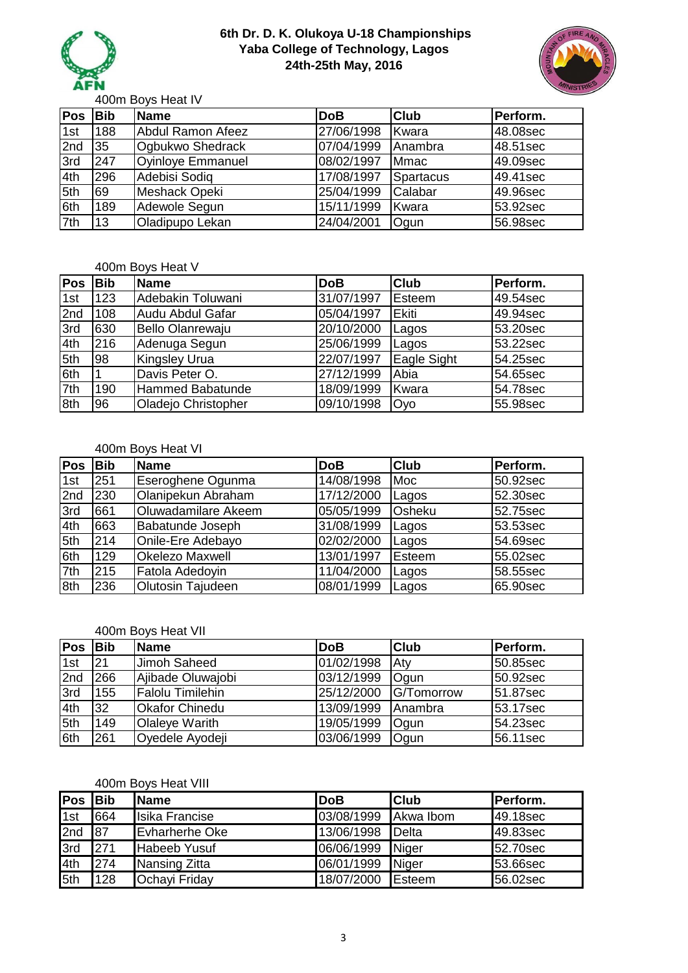



400m Boys Heat IV

| <b>Pos</b> | <b>Bib</b> | <b>Name</b>              | <b>DoB</b> | <b>Club</b> | Perform. |
|------------|------------|--------------------------|------------|-------------|----------|
| 1st        | 188        | <b>Abdul Ramon Afeez</b> | 27/06/1998 | Kwara       | 48.08sec |
| 2nd        | 35         | Ogbukwo Shedrack         | 07/04/1999 | Anambra     | 48.51sec |
| 3rd        | 247        | <b>Oyinloye Emmanuel</b> | 08/02/1997 | <b>Mmac</b> | 49.09sec |
| 4th        | 296        | Adebisi Sodiq            | 17/08/1997 | Spartacus   | 49.41sec |
| 5th        | 69         | Meshack Opeki            | 25/04/1999 | Calabar     | 49.96sec |
| 6th        | 189        | Adewole Segun            | 15/11/1999 | Kwara       | 53.92sec |
| 7th        | 13         | Oladipupo Lekan          | 24/04/2001 | Ogun        | 56.98sec |

#### 400m Boys Heat V

| <b>Pos</b> | <b>Bib</b> | <b>Name</b>             | <b>DoB</b> | <b>Club</b>  | Perform.  |
|------------|------------|-------------------------|------------|--------------|-----------|
| 1st        | 123        | Adebakin Toluwani       | 31/07/1997 | Esteem       | 149.54sec |
| 2nd        | 108        | Audu Abdul Gafar        | 05/04/1997 | <b>Ekiti</b> | 49.94sec  |
| 3rd        | 630        | <b>Bello Olanrewaju</b> | 20/10/2000 | Lagos        | 53.20sec  |
| 4th        | 216        | Adenuga Segun           | 25/06/1999 | Lagos        | 53.22sec  |
| 5th        | 98         | <b>Kingsley Urua</b>    | 22/07/1997 | Eagle Sight  | 54.25sec  |
| 6th        |            | Davis Peter O.          | 27/12/1999 | Abia         | 54.65sec  |
| 7th        | 190        | Hammed Babatunde        | 18/09/1999 | Kwara        | 54.78sec  |
| 8th        | 96         | Oladejo Christopher     | 09/10/1998 | <b>Oyo</b>   | 55.98sec  |

#### 400m Boys Heat VI

| <b>Pos</b> | <b>Bib</b> | <b>Name</b>            | <b>DoB</b> | <b>Club</b> | Perform. |
|------------|------------|------------------------|------------|-------------|----------|
| 1st        | 251        | Eseroghene Ogunma      | 14/08/1998 | Moc         | 50.92sec |
| 2nd        | 230        | Olanipekun Abraham     | 17/12/2000 | Lagos       | 52.30sec |
| 3rd        | 661        | Oluwadamilare Akeem    | 05/05/1999 | Osheku      | 52.75sec |
| 4th        | 663        | Babatunde Joseph       | 31/08/1999 | Lagos       | 53.53sec |
| 5th        | 214        | Onile-Ere Adebayo      | 02/02/2000 | Lagos       | 54.69sec |
| 6th        | 129        | <b>Okelezo Maxwell</b> | 13/01/1997 | Esteem      | 55.02sec |
| 7th        | 215        | Fatola Adedovin        | 11/04/2000 | Lagos       | 58.55sec |
| 8th        | 236        | Olutosin Tajudeen      | 08/01/1999 | Lagos       | 65.90sec |

#### 400m Boys Heat VII

| <b>Pos</b> | <b>Bib</b> | <b>Name</b>             | <b>DoB</b> | <b>Club</b>    | Perform. |
|------------|------------|-------------------------|------------|----------------|----------|
| 1st        | 21         | Jimoh Saheed            | 01/02/1998 | Aty            | 50.85sec |
| 2nd        | 266        | Ajibade Oluwajobi       | 03/12/1999 | Ogun           | 50.92sec |
| 3rd        | 155        | <b>Falolu Timilehin</b> | 25/12/2000 | G/Tomorrow     | 51.87sec |
| .4th       | 32         | <b>Okafor Chinedu</b>   | 13/09/1999 | <b>Anambra</b> | 53.17sec |
| 5th        | 149        | <b>Olaleye Warith</b>   | 19/05/1999 | Ogun           | 54.23sec |
| 6th        | 261        | Oyedele Ayodeji         | 03/06/1999 | Ogun           | 56.11sec |

#### 400m Boys Heat VIII

| Pos | <b>Bib</b> | <b>Name</b>           | <b>DoB</b> | <b>Club</b>    | Perform. |
|-----|------------|-----------------------|------------|----------------|----------|
| 1st | 664        | <b>Isika Francise</b> | 03/08/1999 | Akwa Ibom      | 49.18sec |
| 2nd | 87         | <b>Evharherhe Oke</b> | 13/06/1998 | <b>IDelta</b>  | 49.83sec |
| 3rd | 271        | <b>Habeeb Yusuf</b>   | 06/06/1999 | Niger          | 52.70sec |
| 4th | 274        | Nansing Zitta         | 06/01/1999 | Niger          | 53.66sec |
| 5th | 128        | Ochayi Friday         | 18/07/2000 | <b>IEsteem</b> | 56.02sec |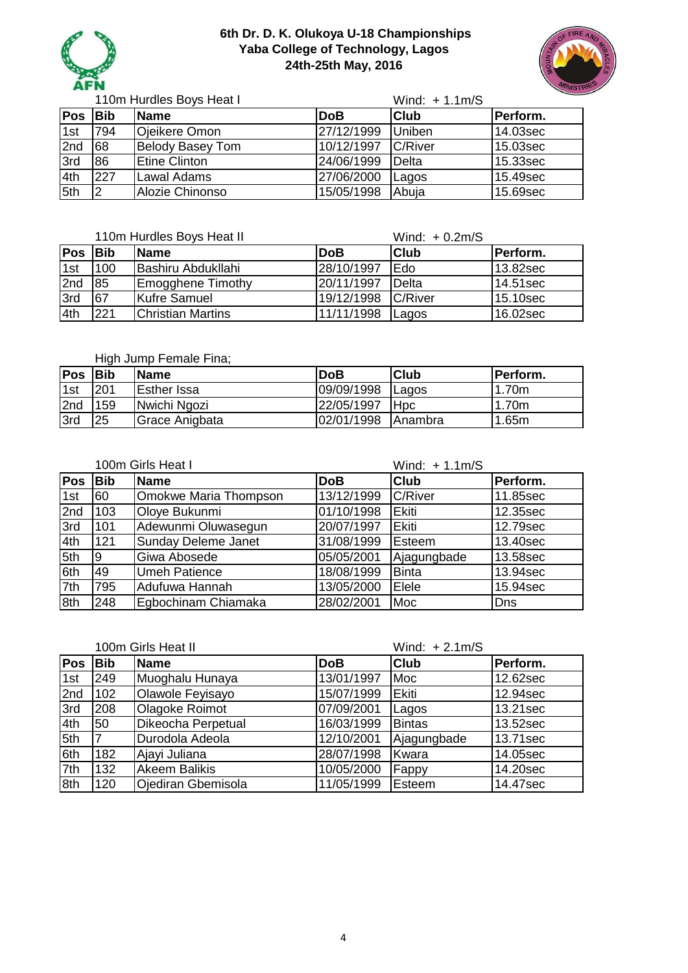



Wind: + 1.1m/S **Pos Bib Name DoB Club Perform.** 1st 794 Ojeikere Omon 27/12/1999 Uniben 14.03sec 2nd 68 Belody Basey Tom 10/12/1997 C/River 15.03sec 3rd 86 Etine Clinton 24/06/1999 Delta 15.33sec 4th 227 Lawal Adams 27/06/2000 Lagos 15.49sec 5th 2 Alozie Chinonso 15/05/1998 Abuja 15.69sec 110m Hurdles Boys Heat I

|     |            | 110m Hurdles Boys Heat II |            | Wind: $+0.2m/S$ |          |
|-----|------------|---------------------------|------------|-----------------|----------|
| Pos | <b>Bib</b> | <b>Name</b>               | <b>DoB</b> | <b>Club</b>     | Perform. |
| 1st | 100        | <b>Bashiru Abdukllahi</b> | 28/10/1997 | Edo             | 13.82sec |
| 2nd | 85         | <b>Emogghene Timothy</b>  | 20/11/1997 | Delta           | 14.51sec |
| 3rd | 67         | <b>Kufre Samuel</b>       | 19/12/1998 | <b>C/River</b>  | 15.10sec |
| 4th | 221        | <b>Christian Martins</b>  | 11/11/1998 | Lagos           | 16.02sec |

#### High Jump Female Fina;

| <b>Pos</b> | <b>IBib</b> | <b>Name</b>    | <b>DoB</b> | <b>Club</b>     | <b>Perform.</b> |
|------------|-------------|----------------|------------|-----------------|-----------------|
| 1st        | <b>1201</b> | Esther Issa    | 09/09/1998 | <b>IL</b> agos  | 1.70m           |
| 2nd        | 159         | Nwichi Ngozi   | 22/05/1997 | l Hpc           | 1.70m           |
| 3rd        | 25          | Grace Anigbata | 02/01/1998 | <b>IAnambra</b> | 1.65m           |

|            | 100m Girls Heat I |                            |            | Wind: $+1.1m/S$ |          |  |
|------------|-------------------|----------------------------|------------|-----------------|----------|--|
| <b>Pos</b> | <b>Bib</b>        | <b>Name</b>                | <b>DoB</b> | <b>Club</b>     | Perform. |  |
| 1st        | 60                | Omokwe Maria Thompson      | 13/12/1999 | <b>C/River</b>  | 11.85sec |  |
| 2nd        | 103               | Oloye Bukunmi              | 01/10/1998 | Ekiti           | 12.35sec |  |
| 3rd        | 101               | Adewunmi Oluwasegun        | 20/07/1997 | Ekiti           | 12.79sec |  |
| 4th        | 121               | <b>Sunday Deleme Janet</b> | 31/08/1999 | Esteem          | 13.40sec |  |
| 5th        | 19                | Giwa Abosede               | 05/05/2001 | Ajagungbade     | 13.58sec |  |
| 6th        | 49                | <b>Umeh Patience</b>       | 18/08/1999 | <b>Binta</b>    | 13.94sec |  |
| 7th        | 795               | Adufuwa Hannah             | 13/05/2000 | Elele           | 15.94sec |  |
| 8th        | 248               | Egbochinam Chiamaka        | 28/02/2001 | Moc             | Dns      |  |

|            |            | 100m Girls Heat II        |            | Wind: $+2.1 \text{m/S}$ |          |
|------------|------------|---------------------------|------------|-------------------------|----------|
| <b>Pos</b> | <b>Bib</b> | <b>Name</b>               | <b>DoB</b> | <b>Club</b>             | Perform. |
| 1st        | 249        | Muoghalu Hunaya           | 13/01/1997 | Moc                     | 12.62sec |
| 2nd        | 102        | Olawole Feyisayo          | 15/07/1999 | Ekiti                   | 12.94sec |
| 3rd        | 208        | Olagoke Roimot            | 07/09/2001 | Lagos                   | 13.21sec |
| 4th        | 50         | Dikeocha Perpetual        | 16/03/1999 | <b>Bintas</b>           | 13.52sec |
| 5th        |            | Durodola Adeola           | 12/10/2001 | Ajagungbade             | 13.71sec |
| 6th        | 182        | Ajayi Juliana             | 28/07/1998 | Kwara                   | 14.05sec |
| 7th        | 132        | <b>Akeem Balikis</b>      | 10/05/2000 | Fappy                   | 14.20sec |
| 8th        | 120        | <b>Ojediran Gbemisola</b> | 11/05/1999 | Esteem                  | 14.47sec |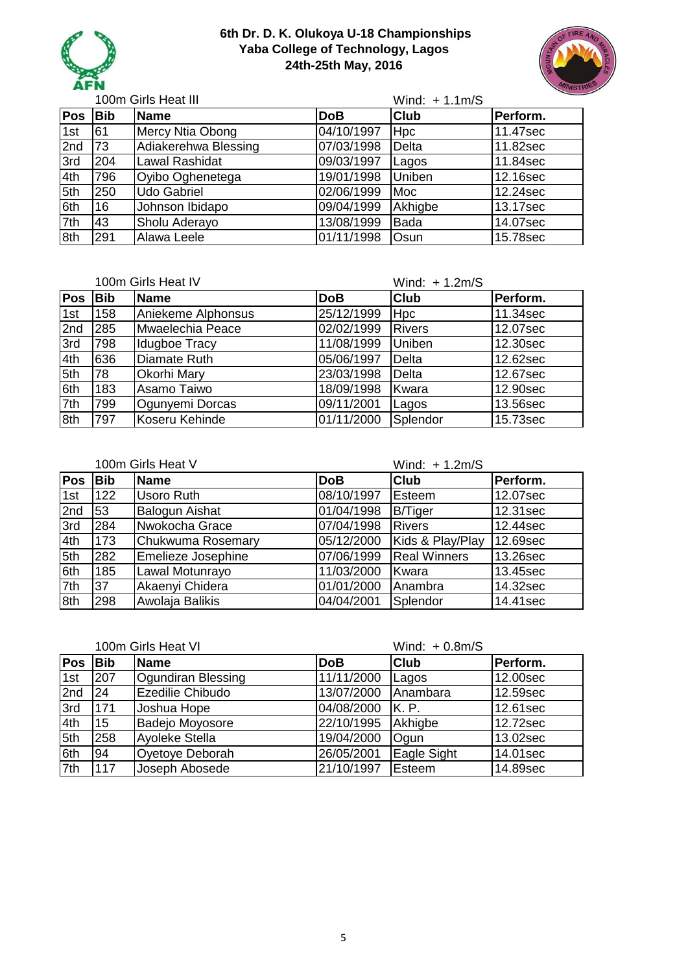



Wind: + 1.1m/S **Pos Bib Name DoB Club Perform.** 1st 61 | Mercy Ntia Obong | 04/10/1997 | Hpc | 11.47sec 2nd 73 Adiakerehwa Blessing 07/03/1998 Delta 11.82sec 3rd 204 Lawal Rashidat 09/03/1997 Lagos 11.84sec 4th 796 Oyibo Oghenetega 19/01/1998 Uniben 12.16sec 5th 250 Udo Gabriel **12.24sec** 02/06/1999 Moc 12.24sec 6th 16 Johnson Ibidapo 09/04/1999 Akhigbe 13.17sec 7th 43 Sholu Aderayo 13/08/1999 Bada 14.07sec 8th 291 Alawa Leele **15.78sec** 01/11/1998 Osun 15.78sec 100m Girls Heat III

|            |            | 100m Girls Heat IV |            | Wind: $+ 1.2m/S$ |          |
|------------|------------|--------------------|------------|------------------|----------|
| <b>Pos</b> | <b>Bib</b> | <b>Name</b>        | <b>DoB</b> | <b>Club</b>      | Perform. |
| 1st        | 158        | Aniekeme Alphonsus | 25/12/1999 | Hpc              | 11.34sec |
| 2nd        | 285        | Mwaelechia Peace   | 02/02/1999 | <b>Rivers</b>    | 12.07sec |
| 3rd        | 798        | Idugboe Tracy      | 11/08/1999 | <b>Uniben</b>    | 12.30sec |
| 4th        | 636        | Diamate Ruth       | 05/06/1997 | <b>Delta</b>     | 12.62sec |
| 5th        | 78         | <b>Okorhi Mary</b> | 23/03/1998 | Delta            | 12.67sec |
| 6th        | 183        | Asamo Taiwo        | 18/09/1998 | Kwara            | 12.90sec |
| 7th        | 799        | Ogunyemi Dorcas    | 09/11/2001 | Lagos            | 13.56sec |
| 8th        | 797        | Koseru Kehinde     | 01/11/2000 | Splendor         | 15.73sec |

| 100m Girls Heat V |            |                           |            | Wind: $+ 1.2m/S$    |          |  |
|-------------------|------------|---------------------------|------------|---------------------|----------|--|
| <b>Pos</b>        | <b>Bib</b> | Name                      | <b>DoB</b> | <b>Club</b>         | Perform. |  |
| 1st               | 122        | <b>Usoro Ruth</b>         | 08/10/1997 | Esteem              | 12.07sec |  |
| 2nd               | 53         | <b>Balogun Aishat</b>     | 01/04/1998 | <b>B/Tiger</b>      | 12.31sec |  |
| 3rd               | 284        | Nwokocha Grace            | 07/04/1998 | <b>Rivers</b>       | 12.44sec |  |
| 4th               | 173        | Chukwuma Rosemary         | 05/12/2000 | Kids & Play/Play    | 12.69sec |  |
| 5th               | 282        | <b>Emelieze Josephine</b> | 07/06/1999 | <b>Real Winners</b> | 13.26sec |  |
| 6th               | 185        | Lawal Motunrayo           | 11/03/2000 | Kwara               | 13.45sec |  |
| 7th               | 37         | Akaenyi Chidera           | 01/01/2000 | Anambra             | 14.32sec |  |
| 8th               | 298        | Awolaja Balikis           | 04/04/2001 | Splendor            | 14.41sec |  |

|            |            | 100m Girls Heat VI     |            | Wind: $+0.8$ m/S |          |
|------------|------------|------------------------|------------|------------------|----------|
| <b>Pos</b> | <b>Bib</b> | Name                   | <b>DoB</b> | <b>Club</b>      | Perform. |
| 1st        | 207        | Ogundiran Blessing     | 11/11/2000 | Lagos            | 12.00sec |
| 2nd        | 24         | Ezedilie Chibudo       | 13/07/2000 | Anambara         | 12.59sec |
| 3rd        | 171        | Joshua Hope            | 04/08/2000 | K. P.            | 12.61sec |
| 4th        | 15         | <b>Badejo Moyosore</b> | 22/10/1995 | Akhigbe          | 12.72sec |
| 5th        | 258        | Ayoleke Stella         | 19/04/2000 | Ogun             | 13.02sec |
| 6th        | 94         | Oyetoye Deborah        | 26/05/2001 | Eagle Sight      | 14.01sec |
| 7th        | 117        | Joseph Abosede         | 21/10/1997 | Esteem           | 14.89sec |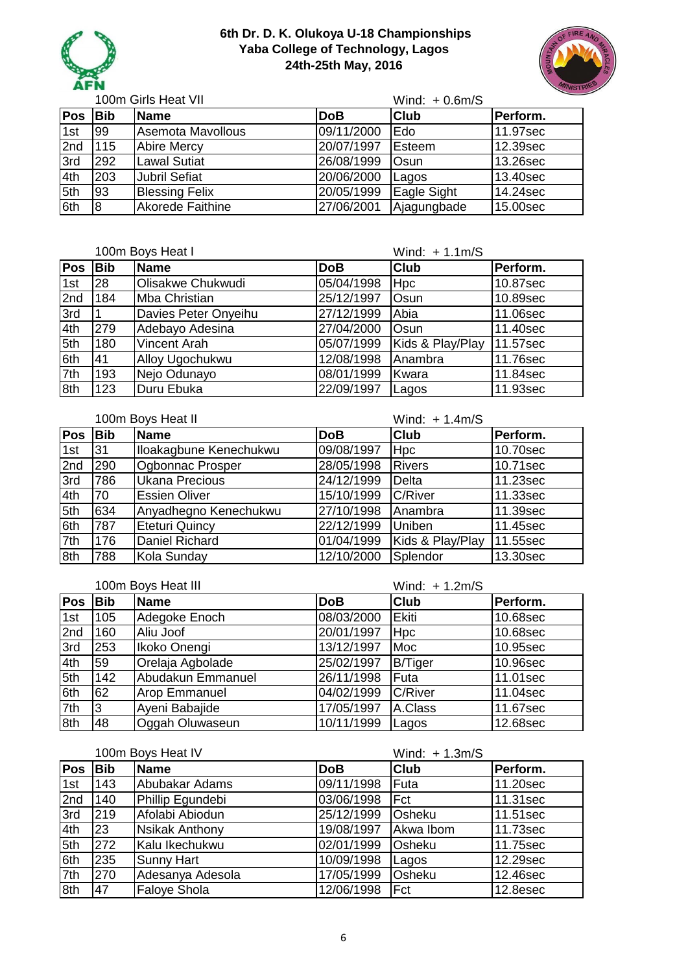



Wind: + 0.6m/S **Pos Bib Name DoB Club Perform.** 1st 99 Asemota Mavollous 09/11/2000 Edo 11.97sec 2nd 115 Abire Mercy 20/07/1997 Esteem 12.39sec 3rd 292 Lawal Sutiat 26/08/1999 Osun 13.26sec 4th 203 Jubril Sefiat 20/06/2000 Lagos 13.40sec 5th 93 Blessing Felix 20/05/1999 Eagle Sight 14.24sec 6th 8 Akorede Faithine 27/06/2001 Ajagungbade 15.00sec 100m Girls Heat VII

| 100m Boys Heat I |            |                      | Wind: $+1.1m/S$ |                  |          |
|------------------|------------|----------------------|-----------------|------------------|----------|
| <b>Pos</b>       | <b>Bib</b> | <b>Name</b>          | <b>DoB</b>      | <b>Club</b>      | Perform. |
| 1st              | 28         | Olisakwe Chukwudi    | 05/04/1998      | <b>Hpc</b>       | 10.87sec |
| 2nd              | 184        | Mba Christian        | 25/12/1997      | Osun             | 10.89sec |
| 3rd              |            | Davies Peter Onyeihu | 27/12/1999      | Abia             | 11.06sec |
| 4th              | 279        | Adebayo Adesina      | 27/04/2000      | <b>Osun</b>      | 11.40sec |
| 5th              | 180        | <b>Vincent Arah</b>  | 05/07/1999      | Kids & Play/Play | 11.57sec |
| 6th              | 41         | Alloy Ugochukwu      | 12/08/1998      | Anambra          | 11.76sec |
| 7th              | 193        | Nejo Odunayo         | 08/01/1999      | Kwara            | 11.84sec |
| 8th              | 123        | Duru Ebuka           | 22/09/1997      | Lagos            | 11.93sec |

100m Boys Heat II

Wind: + 1.4m/S

| Pos | <b>Bib</b> | <b>Name</b>             | <b>DoB</b> | <b>Club</b>      | Perform. |
|-----|------------|-------------------------|------------|------------------|----------|
| 1st | 31         | Iloakagbune Kenechukwu  | 09/08/1997 | <b>Hpc</b>       | 10.70sec |
| 2nd | 290        | <b>Ogbonnac Prosper</b> | 28/05/1998 | <b>Rivers</b>    | 10.71sec |
| 3rd | 786        | <b>Ukana Precious</b>   | 24/12/1999 | Delta            | 11.23sec |
| 4th | 70         | <b>Essien Oliver</b>    | 15/10/1999 | C/River          | 11.33sec |
| 5th | 634        | Anyadhegno Kenechukwu   | 27/10/1998 | Anambra          | 11.39sec |
| 6th | 787        | Eteturi Quincy          | 22/12/1999 | Uniben           | 11.45sec |
| 7th | 176        | Daniel Richard          | 01/04/1999 | Kids & Play/Play | 11.55sec |
| 8th | 788        | Kola Sunday             | 12/10/2000 | Splendor         | 13.30sec |

|     |            | 100m Boys Heat III   |            | Wind: $+ 1.2m/S$ |          |
|-----|------------|----------------------|------------|------------------|----------|
| Pos | <b>Bib</b> | <b>Name</b>          | <b>DoB</b> | <b>Club</b>      | Perform. |
| 1st | 105        | Adegoke Enoch        | 08/03/2000 | Ekiti            | 10.68sec |
| 2nd | 160        | Aliu Joof            | 20/01/1997 | <b>Hpc</b>       | 10.68sec |
| 3rd | 253        | Ikoko Onengi         | 13/12/1997 | Moc              | 10.95sec |
| 4th | <b>59</b>  | Orelaja Agbolade     | 25/02/1997 | <b>B/Tiger</b>   | 10.96sec |
| 5th | 142        | Abudakun Emmanuel    | 26/11/1998 | Futa             | 11.01sec |
| 6th | 62         | <b>Arop Emmanuel</b> | 04/02/1999 | C/River          | 11.04sec |
| 7th | l3         | Ayeni Babajide       | 17/05/1997 | A.Class          | 11.67sec |
| 8th | 48         | Oggah Oluwaseun      | 10/11/1999 | Lagos            | 12.68sec |

|     |            | 100m Boys Heat IV     |            | Wind: $+ 1.3m/S$ |          |
|-----|------------|-----------------------|------------|------------------|----------|
| Pos | <b>Bib</b> | <b>Name</b>           | <b>DoB</b> | <b>Club</b>      | Perform. |
| 1st | 143        | Abubakar Adams        | 09/11/1998 | Futa             | 11.20sec |
| 2nd | 140        | Phillip Egundebi      | 03/06/1998 | <b>IFct</b>      | 11.31sec |
| 3rd | 219        | Afolabi Abiodun       | 25/12/1999 | Osheku           | 11.51sec |
| 4th | 23         | <b>Nsikak Anthony</b> | 19/08/1997 | Akwa Ibom        | 11.73sec |
| 5th | 272        | Kalu Ikechukwu        | 02/01/1999 | Osheku           | 11.75sec |
| 6th | 235        | <b>Sunny Hart</b>     | 10/09/1998 | Lagos            | 12.29sec |
| 7th | 270        | Adesanya Adesola      | 17/05/1999 | Osheku           | 12.46sec |
| 8th | 47         | <b>Faloye Shola</b>   | 12/06/1998 | Fct              | 12.8esec |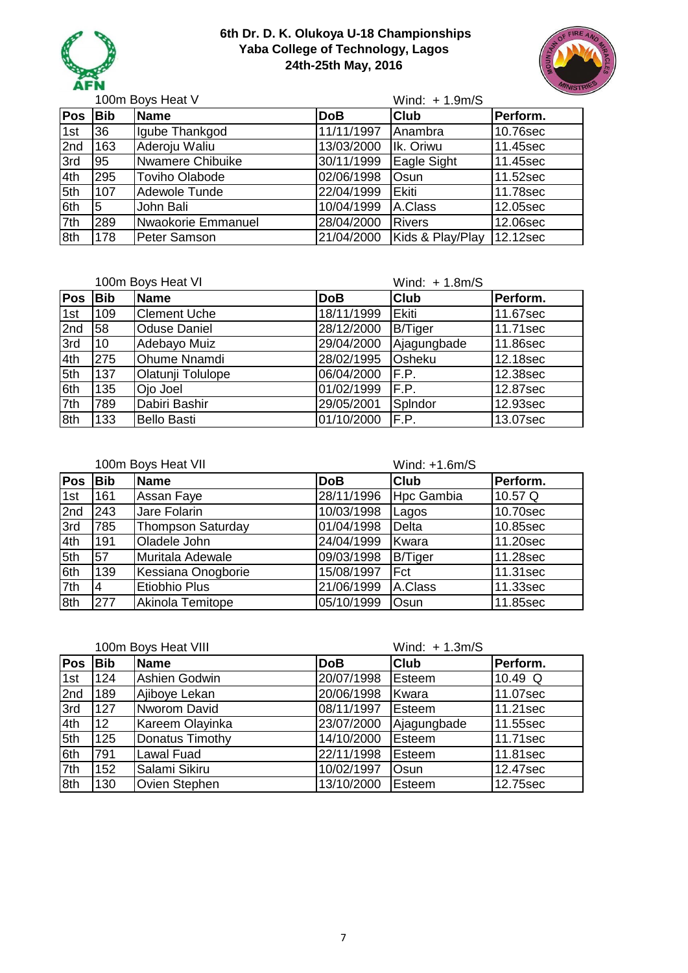



Wind: + 1.9m/S Pos Bib Name **DoB** Club Perform. 1st 36 | Igube Thankgod | 11/11/1997 | Anambra | 10.76sec 2nd 163 Aderoju Waliu 13/03/2000 | Ik. Oriwu | 11.45sec 3rd | 95 | Nwamere Chibuike | 30/11/1999 | Eagle Sight | 11.45sec 4th 295 Toviho Olabode 02/06/1998 Osun 11.52sec 5th 107 Adewole Tunde 22/04/1999 Ekiti 11.78sec 6th 5 John Bali 10/04/1999 A.Class 12.05sec 7th 289 Nwaokorie Emmanuel 28/04/2000 Rivers 12.06sec 8th 178 Peter Samson 21/04/2000 Kids & Play/Play 12.12sec 100m Boys Heat V

| 100m Boys Heat VI |            |                          | Wind: $+ 1.8m/S$ |                |          |
|-------------------|------------|--------------------------|------------------|----------------|----------|
| Pos               | <b>Bib</b> | Name                     | <b>DoB</b>       | <b>Club</b>    | Perform. |
| 1st               | 109        | <b>Clement Uche</b>      | 18/11/1999       | <b>Ekiti</b>   | 11.67sec |
| 2nd               | 58         | <b>Oduse Daniel</b>      | 28/12/2000       | <b>B/Tiger</b> | 11.71sec |
| 3rd               | 10         | Adebayo Muiz             | 29/04/2000       | Ajagungbade    | 11.86sec |
| 4th               | 275        | <b>Ohume Nnamdi</b>      | 28/02/1995       | Osheku         | 12.18sec |
| 5th               | 137        | <b>Olatunji Tolulope</b> | 06/04/2000       | F.P.           | 12.38sec |
| 6th               | 135        | Ojo Joel                 | 01/02/1999       | F.P.           | 12.87sec |
| 7th               | 789        | Dabiri Bashir            | 29/05/2001       | SpIndor        | 12.93sec |
| 8th               | 133        | <b>Bello Basti</b>       | 01/10/2000       | F.P.           | 13.07sec |

|            | 100m Boys Heat VII |                      |            | Wind: +1.6m/S  |          |
|------------|--------------------|----------------------|------------|----------------|----------|
| <b>Pos</b> | <b>Bib</b>         | <b>Name</b>          | <b>DoB</b> | <b>Club</b>    | Perform. |
| 1st        | 161                | Assan Faye           | 28/11/1996 | Hpc Gambia     | 10.57 Q  |
| 2nd        | 243                | Jare Folarin         | 10/03/1998 | Lagos          | 10.70sec |
| 3rd        | 785                | Thompson Saturday    | 01/04/1998 | <b>Delta</b>   | 10.85sec |
| 4th        | 191                | Oladele John         | 24/04/1999 | Kwara          | 11.20sec |
| 5th        | 57                 | Muritala Adewale     | 09/03/1998 | <b>B/Tiger</b> | 11.28sec |
| 6th        | 139                | Kessiana Onogborie   | 15/08/1997 | Fct            | 11.31sec |
| 7th        | 4                  | <b>Etiobhio Plus</b> | 21/06/1999 | A.Class        | 11.33sec |
| 8th        | 277                | Akinola Temitope     | 05/10/1999 | Osun           | 11.85sec |

|            | 100m Boys Heat VIII |                   |            | Wind: $+ 1.3m/S$ |           |
|------------|---------------------|-------------------|------------|------------------|-----------|
| <b>Pos</b> | <b>Bib</b>          | <b>Name</b>       | <b>DoB</b> | <b>Club</b>      | Perform.  |
| 1st        | 124                 | Ashien Godwin     | 20/07/1998 | Esteem           | 10.49 $Q$ |
| 2nd        | 189                 | Ajiboye Lekan     | 20/06/1998 | Kwara            | 11.07sec  |
| 3rd        | 127                 | Nworom David      | 08/11/1997 | Esteem           | 11.21sec  |
| 4th        | 12                  | Kareem Olayinka   | 23/07/2000 | Ajagungbade      | 11.55sec  |
| 5th        | 125                 | Donatus Timothy   | 14/10/2000 | <b>Esteem</b>    | 11.71sec  |
| 6th        | 791                 | <b>Lawal Fuad</b> | 22/11/1998 | Esteem           | 11.81sec  |
| 7th        | 152                 | Salami Sikiru     | 10/02/1997 | Osun             | 12.47sec  |
| 8th        | 130                 | Ovien Stephen     | 13/10/2000 | Esteem           | 12.75sec  |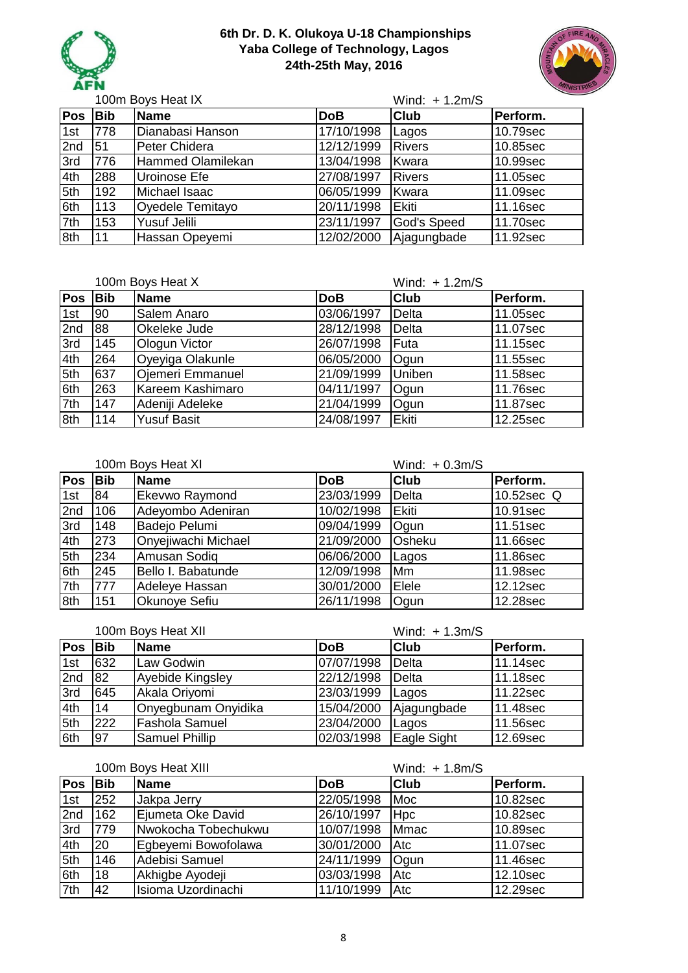



|            |            | 100m Boys Heat IX   |                     | Wind: $+ 1.2m/S$ |          |
|------------|------------|---------------------|---------------------|------------------|----------|
| <b>Pos</b> | <b>Bib</b> | <b>Name</b>         | <b>DoB</b>          | <b>Club</b>      | Perform. |
| 1st        | 778        | Dianabasi Hanson    | 17/10/1998          | Lagos            | 10.79sec |
| 2nd        | 51         | Peter Chidera       | $\sqrt{12}/12/1999$ | <b>Rivers</b>    | 10.85sec |
| 3rd        | 776        | Hammed Olamilekan   | 13/04/1998          | Kwara            | 10.99sec |
| 4th        | 288        | Uroinose Efe        | 27/08/1997          | <b>Rivers</b>    | 11.05sec |
| 5th        | 192        | Michael Isaac       | 06/05/1999          | Kwara            | 11.09sec |
| 6th        | 113        | Oyedele Temitayo    | 20/11/1998          | Ekiti            | 11.16sec |
| 7th        | 153        | <b>Yusuf Jelili</b> | 23/11/1997          | God's Speed      | 11.70sec |
| 8th        | 11         | Hassan Opeyemi      | 12/02/2000          | Ajagungbade      | 11.92sec |

|     |            | 100m Boys Heat X        |            | Wind: $+ 1.2m/S$ |          |
|-----|------------|-------------------------|------------|------------------|----------|
| Pos | <b>Bib</b> | Name                    | <b>DoB</b> | <b>Club</b>      | Perform. |
| 1st | 90         | Salem Anaro             | 03/06/1997 | <b>Delta</b>     | 11.05sec |
| 2nd | 88         | <b>Okeleke Jude</b>     | 28/12/1998 | <b>Delta</b>     | 11.07sec |
| 3rd | 145        | Ologun Victor           | 26/07/1998 | Futa             | 11.15sec |
| 4th | 264        | Oyeyiga Olakunle        | 06/05/2000 | Ogun             | 11.55sec |
| 5th | 637        | <b>Ojemeri Emmanuel</b> | 21/09/1999 | Uniben           | 11.58sec |
| 6th | 263        | Kareem Kashimaro        | 04/11/1997 | Ogun             | 11.76sec |
| 7th | 147        | Adeniji Adeleke         | 21/04/1999 | Ogun             | 11.87sec |
| 8th | 114        | <b>Yusuf Basit</b>      | 24/08/1997 | Ekiti            | 12.25sec |

|            |            | 100m Boys Heat XI     |            | Wind: $+0.3m/S$ |                        |
|------------|------------|-----------------------|------------|-----------------|------------------------|
| <b>Pos</b> | <b>Bib</b> | Name                  | <b>DoB</b> | <b>Club</b>     | Perform.               |
| 1st        | 84         | <b>Ekevwo Raymond</b> | 23/03/1999 | <b>Delta</b>    | 10.52sec Q             |
| 2nd        | 106        | Adeyombo Adeniran     | 10/02/1998 | Ekiti           | 10.91sec               |
| 3rd        | 148        | Badejo Pelumi         | 09/04/1999 | Ogun            | 11.51sec               |
| 4th        | 273        | Onyejiwachi Michael   | 21/09/2000 | Osheku          | 11.66sec               |
| 5th        | 234        | Amusan Sodiq          | 06/06/2000 | Lagos           | 11.86sec               |
| 6th        | 245        | Bello I. Babatunde    | 12/09/1998 | Mm              | 11.98sec               |
| 7th        | 777        | Adeleye Hassan        | 30/01/2000 | Elele           | 12.12sec               |
| 8th        | 151        | <b>Okunoye Sefiu</b>  | 26/11/1998 | Ogun            | $\overline{12.28}$ sec |

|     | 100m Boys Heat XII |                       |            | Wind: $+ 1.3m/S$ |          |
|-----|--------------------|-----------------------|------------|------------------|----------|
| Pos | <b>Bib</b>         | <b>Name</b>           | <b>DoB</b> | <b>Club</b>      | Perform. |
| 1st | 632                | Law Godwin            | 07/07/1998 | Delta            | 11.14sec |
| 2nd | 82                 | Ayebide Kingsley      | 22/12/1998 | Delta            | 11.18sec |
| 3rd | 645                | Akala Oriyomi         | 23/03/1999 | Lagos            | 11.22sec |
| 4th | 14                 | Onyegbunam Onyidika   | 15/04/2000 | Ajagungbade      | 11.48sec |
| 5th | 222                | <b>Fashola Samuel</b> | 23/04/2000 | Lagos            | 11.56sec |
| 6th | 97                 | <b>Samuel Phillip</b> | 02/03/1998 | Eagle Sight      | 12.69sec |

100m Boys Heat XIII

|                           | 100m Boys Heat XIII |                     |            | Wind: $+ 1.8m/S$ |          |  |
|---------------------------|---------------------|---------------------|------------|------------------|----------|--|
| Pos                       | <b>Bib</b>          | <b>Name</b>         | <b>DoB</b> | <b>Club</b>      | Perform. |  |
| 1st                       | 252                 | Jakpa Jerry         | 22/05/1998 | Moc              | 10.82sec |  |
| 2nd                       | 162                 | Ejumeta Oke David   | 26/10/1997 | <b>Hpc</b>       | 10.82sec |  |
| 3rd                       | 779                 | Nwokocha Tobechukwu | 10/07/1998 | <b>Mmac</b>      | 10.89sec |  |
| 4th                       | 20                  | Egbeyemi Bowofolawa | 30/01/2000 | I Atc            | 11.07sec |  |
| $\overline{\mathsf{5th}}$ | 146                 | Adebisi Samuel      | 24/11/1999 | Ogun             | 11.46sec |  |
| 6th                       | 18                  | Akhigbe Ayodeji     | 03/03/1998 | Atc              | 12.10sec |  |
| 7th                       | 42                  | Isioma Uzordinachi  | 11/10/1999 | Atc              | 12.29sec |  |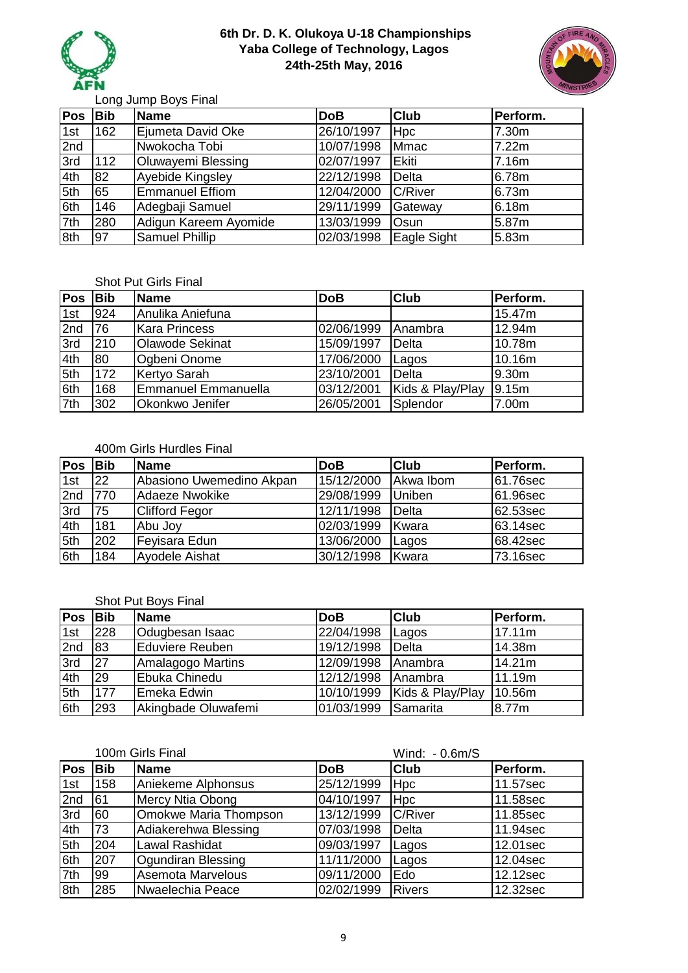



Long Jump Boys Final

| Pos | <b>Bib</b> | <b>Name</b>            | <b>DoB</b> | <b>Club</b>    | Perform. |
|-----|------------|------------------------|------------|----------------|----------|
| 1st | 162        | Ejumeta David Oke      | 26/10/1997 | <b>Hpc</b>     | 7.30m    |
| 2nd |            | Nwokocha Tobi          | 10/07/1998 | <b>Mmac</b>    | 7.22m    |
| 3rd | 112        | Oluwayemi Blessing     | 02/07/1997 | Ekiti          | 7.16m    |
| 4th | 82         | Ayebide Kingsley       | 22/12/1998 | <b>Delta</b>   | 6.78m    |
| 5th | 65         | <b>Emmanuel Effiom</b> | 12/04/2000 | <b>C/River</b> | 6.73m    |
| 6th | 146        | Adegbaji Samuel        | 29/11/1999 | Gateway        | 6.18m    |
| 7th | 280        | Adigun Kareem Ayomide  | 13/03/1999 | Osun           | 5.87m    |
| 8th | 97         | <b>Samuel Phillip</b>  | 02/03/1998 | Eagle Sight    | 5.83m    |

#### Shot Put Girls Final

| Pos | <b>Bib</b> | <b>Name</b>                | <b>DoB</b> | <b>Club</b>      | Perform. |
|-----|------------|----------------------------|------------|------------------|----------|
| 1st | 924        | Anulika Aniefuna           |            |                  | 15.47m   |
| 2nd | 176        | <b>Kara Princess</b>       | 02/06/1999 | Anambra          | 12.94m   |
| 3rd | 210        | <b>Olawode Sekinat</b>     | 15/09/1997 | Delta            | 10.78m   |
| 4th | 80         | Ogbeni Onome               | 17/06/2000 | Lagos            | 10.16m   |
| 5th | 172        | Kertyo Sarah               | 23/10/2001 | Delta            | 9.30m    |
| 6th | 168        | <b>Emmanuel Emmanuella</b> | 03/12/2001 | Kids & Play/Play | 9.15m    |
| 7th | 302        | Okonkwo Jenifer            | 26/05/2001 | Splendor         | 7.00m    |

#### 400m Girls Hurdles Final

| <b>Pos</b> | <b>Bib</b> | <b>Name</b>              | <b>DoB</b>          | <b>Club</b>   | <b>Perform.</b> |
|------------|------------|--------------------------|---------------------|---------------|-----------------|
| 1st        | 22         | Abasiono Uwemedino Akpan | $\sqrt{15/12/2000}$ | Akwa Ibom     | 61.76sec        |
| 2nd        | 770        | Adaeze Nwokike           | 29/08/1999          | <b>Uniben</b> | 61.96sec        |
| 3rd        | 75         | <b>Clifford Fegor</b>    | 12/11/1998          | Delta         | 62.53sec        |
| 4th        | 181        | Abu Joy                  | 02/03/1999          | Kwara         | 63.14sec        |
| 5th        | 202        | Feyisara Edun            | 13/06/2000          | Lagos         | 168.42sec       |
| 6th        | 184        | <b>Ayodele Aishat</b>    | 30/12/1998          | Kwara         | 73.16sec        |

## Shot Put Boys Final

| <b>Pos</b> | <b>Bib</b> | Name                 | <b>DoB</b>  | <b>Club</b>      | Perform. |
|------------|------------|----------------------|-------------|------------------|----------|
| 1st        | 228        | Odugbesan Isaac      | 22/04/1998  | Lagos            | 17.11m   |
| 2nd        | 83         | Eduviere Reuben      | 19/12/1998  | Delta            | 14.38m   |
| 3rd        | 27         | Amalagogo Martins    | 12/09/1998  | Anambra          | 14.21m   |
| 4th        | 29         | <b>Ebuka Chinedu</b> | 112/12/1998 | <b>Anambra</b>   | 11.19m   |
| 5th        | 177        | <b>IEmeka Edwin</b>  | 10/10/1999  | Kids & Play/Play | 10.56m   |
| 6th        | 293        | Akingbade Oluwafemi  | 01/03/1999  | Samarita         | 8.77m    |

|     |            | 100m Girls Final      |            | Wind: - 0.6m/S |          |
|-----|------------|-----------------------|------------|----------------|----------|
| Pos | <b>Bib</b> | <b>Name</b>           | <b>DoB</b> | <b>Club</b>    | Perform. |
| 1st | 158        | Aniekeme Alphonsus    | 25/12/1999 | <b>Hpc</b>     | 11.57sec |
| 2nd | 61         | Mercy Ntia Obong      | 04/10/1997 | Hpc            | 11.58sec |
| 3rd | 60         | Omokwe Maria Thompson | 13/12/1999 | <b>C/River</b> | 11.85sec |
| 4th | 73         | Adiakerehwa Blessing  | 07/03/1998 | Delta          | 11.94sec |
| 5th | 204        | <b>Lawal Rashidat</b> | 09/03/1997 | Lagos          | 12.01sec |
| 6th | 207        | Ogundiran Blessing    | 11/11/2000 | Lagos          | 12.04sec |
| 7th | 99         | Asemota Marvelous     | 09/11/2000 | Edo            | 12.12sec |
| 8th | 285        | Nwaelechia Peace      | 02/02/1999 | <b>Rivers</b>  | 12.32sec |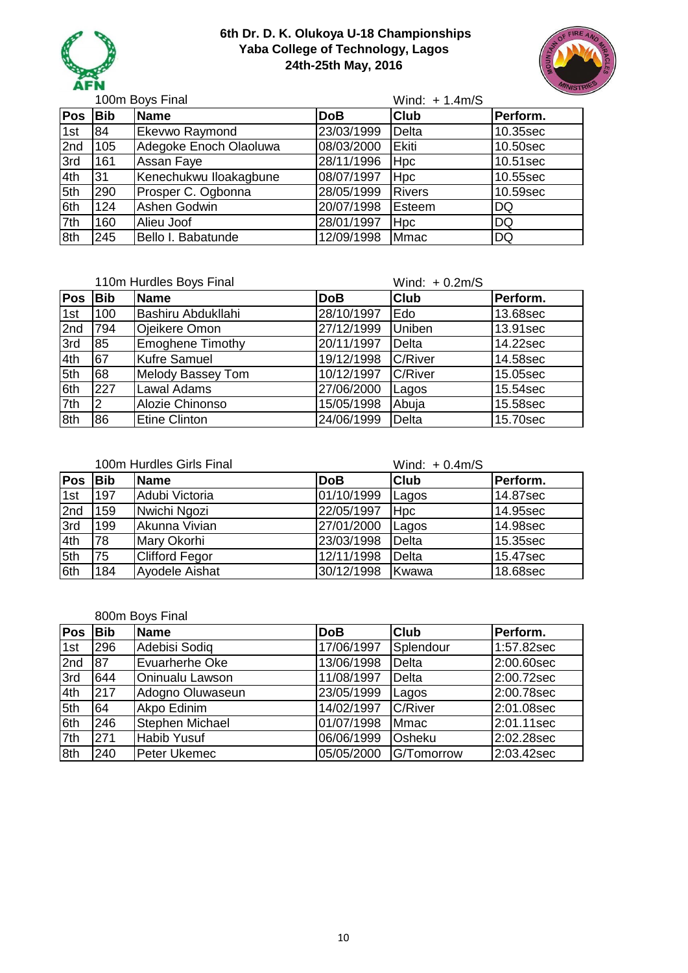



100m Boys Final

### Wind: + 1.4m/S **Pos Bib Name DoB Club Perform.** 1st 84 Ekevwo Raymond 23/03/1999 Delta 10.35sec 2nd 105 Adegoke Enoch Olaoluwa 08/03/2000 Ekiti 10.50sec 3rd | 161 | Assan Faye | 28/11/1996 | Hpc | 10.51sec 4th 31 Kenechukwu Iloakagbune 08/07/1997 Hpc 10.55sec 5th 290 Prosper C. Ogbonna 28/05/1999 Rivers 10.59sec 6th 124 Ashen Godwin 20/07/1998 Esteem DQ 7th 160 Alieu Joof 28/01/1997 Hpc DQ 8th 245 Bello I. Babatunde 12/09/1998 Mmac DQ

|     |            | 110m Hurdles Boys Final  |            | Wind: $+0.2m/S$ |          |
|-----|------------|--------------------------|------------|-----------------|----------|
| Pos | <b>Bib</b> | <b>Name</b>              | <b>DoB</b> | <b>Club</b>     | Perform. |
| 1st | 100        | Bashiru Abdukllahi       | 28/10/1997 | Edo             | 13.68sec |
| 2nd | 794        | Ojeikere Omon            | 27/12/1999 | Uniben          | 13.91sec |
| 3rd | 85         | <b>Emoghene Timothy</b>  | 20/11/1997 | <b>Delta</b>    | 14.22sec |
| 4th | 67         | <b>Kufre Samuel</b>      | 19/12/1998 | <b>C/River</b>  | 14.58sec |
| 5th | 68         | <b>Melody Bassey Tom</b> | 10/12/1997 | <b>C/River</b>  | 15.05sec |
| 6th | 227        | Lawal Adams              | 27/06/2000 | Lagos           | 15.54sec |
| 7th |            | Alozie Chinonso          | 15/05/1998 | Abuja           | 15.58sec |
| 8th | 86         | <b>Etine Clinton</b>     | 24/06/1999 | Delta           | 15.70sec |

|            |            | 100m Hurdles Girls Final |            | Wind: $+0.4$ m/S |          |
|------------|------------|--------------------------|------------|------------------|----------|
| <b>Pos</b> | <b>Bib</b> | <b>Name</b>              | <b>DoB</b> | <b>Club</b>      | Perform. |
| 1st        | 197        | Adubi Victoria           | 01/10/1999 | Lagos            | 14.87sec |
| 2nd        | 159        | Nwichi Ngozi             | 22/05/1997 | <b>Hpc</b>       | 14.95sec |
| 3rd        | 199        | Akunna Vivian            | 27/01/2000 | Lagos            | 14.98sec |
| 4th        | 178        | Mary Okorhi              | 23/03/1998 | Delta            | 15.35sec |
| 5th        | 75         | <b>Clifford Fegor</b>    | 12/11/1998 | Delta            | 15.47sec |
| 6th        | 184        | <b>Ayodele Aishat</b>    | 30/12/1998 | Kwawa            | 18.68sec |

#### 800m Boys Final

| <b>Pos</b> | <b>Bib</b> | <b>Name</b>            | <b>DoB</b> | <b>Club</b>    | Perform.   |
|------------|------------|------------------------|------------|----------------|------------|
| 1st        | 296        | Adebisi Sodiq          | 17/06/1997 | Splendour      | 1:57.82sec |
| 2nd        | 87         | <b>Evuarherhe Oke</b>  | 13/06/1998 | Delta          | 2:00.60sec |
| 3rd        | 644        | <b>Oninualu Lawson</b> | 11/08/1997 | Delta          | 2:00.72sec |
| 4th        | 217        | Adogno Oluwaseun       | 23/05/1999 | Lagos          | 2:00.78sec |
| 5th        | 64         | Akpo Edinim            | 14/02/1997 | <b>C/River</b> | 2:01.08sec |
| 6th        | 246        | <b>Stephen Michael</b> | 01/07/1998 | <b>Mmac</b>    | 2:01.11sec |
| 7th        | 271        | <b>Habib Yusuf</b>     | 06/06/1999 | Osheku         | 2:02.28sec |
| 8th        | 240        | Peter Ukemec           | 05/05/2000 | G/Tomorrow     | 2:03.42sec |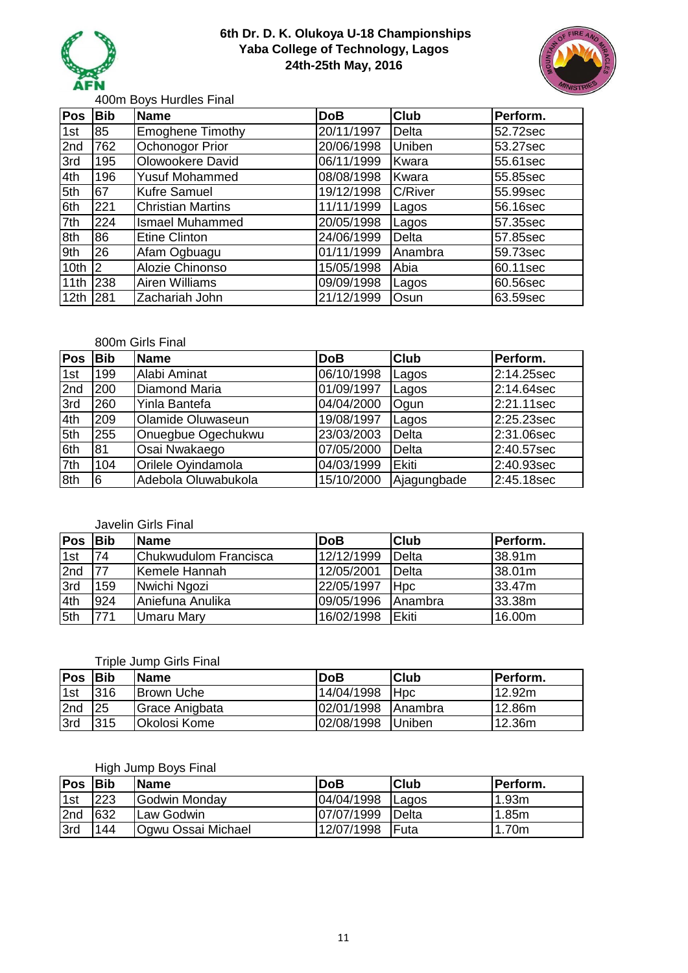



400m Boys Hurdles Final

| Pos              | <b>Bib</b>    | <b>Name</b>              | <b>DoB</b> | <b>Club</b>    | Perform. |
|------------------|---------------|--------------------------|------------|----------------|----------|
| 1st              | 85            | Emoghene Timothy         | 20/11/1997 | Delta          | 52.72sec |
| 2nd              | 762           | Ochonogor Prior          | 20/06/1998 | Uniben         | 53.27sec |
| 3rd              | 195           | Olowookere David         | 06/11/1999 | Kwara          | 55.61sec |
| 4th              | 196           | <b>Yusuf Mohammed</b>    | 08/08/1998 | Kwara          | 55.85sec |
| 5th              | 67            | <b>Kufre Samuel</b>      | 19/12/1998 | <b>C/River</b> | 55.99sec |
| 6th              | 221           | <b>Christian Martins</b> | 11/11/1999 | Lagos          | 56.16sec |
| 7th              | 224           | <b>Ismael Muhammed</b>   | 20/05/1998 | Lagos          | 57.35sec |
| 8th              | 86            | <b>Etine Clinton</b>     | 24/06/1999 | Delta          | 57.85sec |
| 9th              | 26            | Afam Ogbuagu             | 01/11/1999 | Anambra        | 59.73sec |
| 10th             | $\mathsf{I2}$ | Alozie Chinonso          | 15/05/1998 | Abia           | 60.11sec |
| 11th             | 238           | <b>Airen Williams</b>    | 09/09/1998 | Lagos          | 60.56sec |
| 12 <sub>th</sub> | 281           | Zachariah John           | 21/12/1999 | Osun           | 63.59sec |

#### 800m Girls Final

| Pos | <b>Bib</b> | <b>Name</b>              | <b>DoB</b> | <b>Club</b>  | Perform.             |
|-----|------------|--------------------------|------------|--------------|----------------------|
| 1st | 199        | Alabi Aminat             | 06/10/1998 | Lagos        | 2:14.25sec           |
| 2nd | 200        | Diamond Maria            | 01/09/1997 | Lagos        | 2:14.64sec           |
| 3rd | 260        | Yinla Bantefa            | 04/04/2000 | Ogun         | $\sqrt{2}$ :21.11sec |
| 4th | 209        | <b>Olamide Oluwaseun</b> | 19/08/1997 | Lagos        | 2:25.23sec           |
| 5th | 255        | Onuegbue Ogechukwu       | 23/03/2003 | Delta        | 2:31.06sec           |
| 6th | 81         | Osai Nwakaego            | 07/05/2000 | Delta        | 2:40.57sec           |
| 7th | 104        | Orilele Oyindamola       | 04/03/1999 | <b>Ekiti</b> | 2:40.93sec           |
| 8th | 16         | Adebola Oluwabukola      | 15/10/2000 | Ajagungbade  | 2:45.18sec           |

### Javelin Girls Final

| <b>Pos</b> | <b>Bib</b> | <b>IName</b>          | <b>DoB</b> | <b>Club</b>     | IPerform. |
|------------|------------|-----------------------|------------|-----------------|-----------|
| 1st        | 74         | Chukwudulom Francisca | 12/12/1999 | Delta           | 38.91m    |
| 2nd        | 77         | Kemele Hannah         | 12/05/2001 | Delta           | 38.01m    |
| 3rd        | 159        | Nwichi Ngozi          | 22/05/1997 | <b>Hpc</b>      | 33.47m    |
| 4th        | 924        | Aniefuna Anulika      | 09/05/1996 | <b>IAnambra</b> | 33.38m    |
| 5th        | 771        | Umaru Mary            | 16/02/1998 | <b>IEkiti</b>   | 16.00m    |

## Triple Jump Girls Final

| <b>Pos</b> | <b>IBib</b> | <b>IName</b>        | <b>DoB</b> | <b>Club</b>     | IPerform. |
|------------|-------------|---------------------|------------|-----------------|-----------|
| 1st        | <b>316</b>  | <b>Brown Uche</b>   | 14/04/1998 | <b>H</b> pc     | l12.92m   |
| 2nd        | <b>25</b>   | Grace Anigbata      | 02/01/1998 | <b>IAnambra</b> | 12.86m    |
| 3rd        | 315         | <b>Okolosi Kome</b> | 02/08/1998 | <b>Uniben</b>   | 12.36m    |

# High Jump Boys Final

| <b>Pos</b> | <b>IBib</b> | <b>Name</b>               | <b>DoB</b> | lClub         | lPerform. |
|------------|-------------|---------------------------|------------|---------------|-----------|
| 1st        | 223         | Godwin Monday             | 04/04/1998 | <b>ILagos</b> | 1.93m     |
| 2nd        | 632         | ILaw Godwin               | 07/07/1999 | Delta         | 1.85m     |
| 3rd        | 144         | <b>Ogwu Ossai Michael</b> | 12/07/1998 | Futa          | 1.70m     |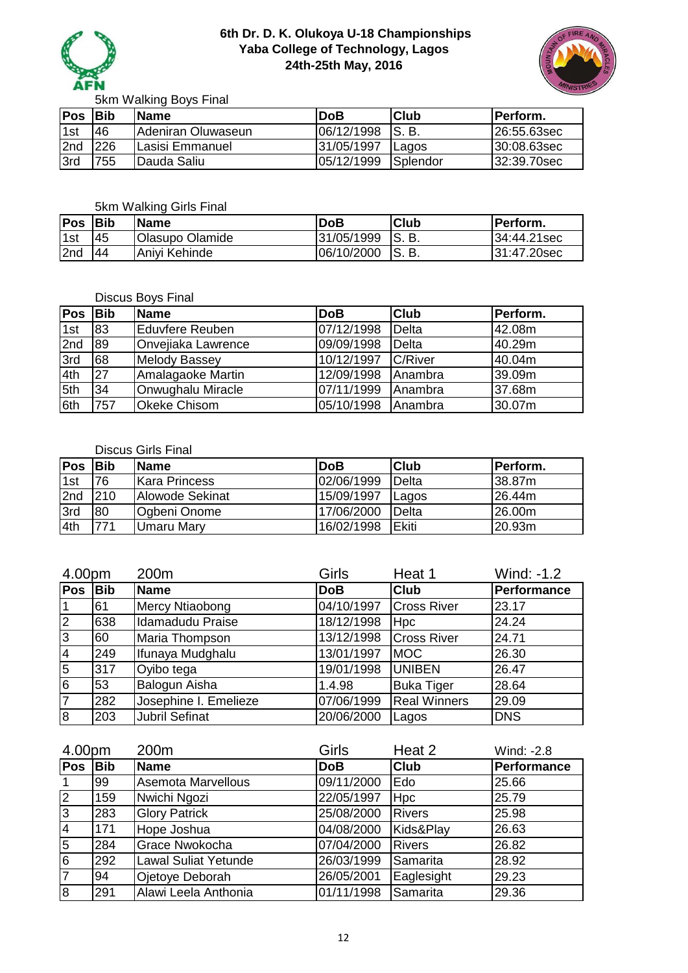



5km Walking Boys Final

| Pos | <b>IBib</b> | <b>IName</b>              | lDoB            | lClub    | <b>IPerform.</b> |
|-----|-------------|---------------------------|-----------------|----------|------------------|
| 1st | 146         | <b>Adeniran Oluwaseun</b> | 06/12/1998 S.B. |          | 26:55.63sec      |
| 2nd | 226         | ILasisi Emmanuel          | 31/05/1997      | Lagos    | 130:08.63sec     |
| 3rd | 755         | <b>IDauda Saliu</b>       | 05/12/1999      | Splendor | 32:39.70sec      |

### 5km Walking Girls Final

| <b>Pos</b>      | lBib | <b>Name</b>            | <b>DoB</b> | <b>Club</b>  | IPerform.   |
|-----------------|------|------------------------|------------|--------------|-------------|
| 1 <sub>st</sub> | 45   | <b>Olasupo Olamide</b> | 31/05/1999 | <b>IS.B.</b> | 34:44.21sec |
| 2nd             | 44   | Anivi Kehinde          | 06/10/2000 | <b>IS.B.</b> | 31:47.20sec |

## Discus Boys Final

| <b>Pos</b> | <b>Bib</b> | <b>Name</b>         | <b>DoB</b> | <b>Club</b> | Perform. |
|------------|------------|---------------------|------------|-------------|----------|
| 1st        | 83         | Eduvfere Reuben     | 07/12/1998 | Delta       | 42.08m   |
| 2nd        | 89         | Onvejiaka Lawrence  | 09/09/1998 | Delta       | 40.29m   |
| 3rd        | 68         | Melody Bassey       | 10/12/1997 | C/River     | 40.04m   |
| 4th        | 27         | Amalagaoke Martin   | 12/09/1998 | Anambra     | 39.09m   |
| 5th        | 34         | Onwughalu Miracle   | 07/11/1999 | Anambra     | 37.68m   |
| 6th        | 757        | <b>Okeke Chisom</b> | 05/10/1998 | Anambra     | 30.07m   |

## Discus Girls Final

| <b>Pos</b> | <b>IBib</b> | <b>IName</b>         | <b>DoB</b> | lClub         | Perform.      |
|------------|-------------|----------------------|------------|---------------|---------------|
| 1st        | 76          | <b>Kara Princess</b> | 02/06/1999 | Delta         | <b>38.87m</b> |
| 2nd        | 210         | Alowode Sekinat      | 15/09/1997 | Lagos         | 26.44m        |
| 3rd        | 80          | Ogbeni Onome         | 17/06/2000 | <b>IDelta</b> | 26.00m        |
| 4th        | 771         | Umaru Mary           | 16/02/1998 | <b>IEkiti</b> | 20.93m        |

| 4.00pm         |            | 200m                  | Girls      | Heat 1              | Wind: -1.2  |
|----------------|------------|-----------------------|------------|---------------------|-------------|
| Pos            | <b>Bib</b> | <b>Name</b>           | <b>DoB</b> | <b>Club</b>         | Performance |
|                | 61         | Mercy Ntiaobong       | 04/10/1997 | <b>Cross River</b>  | 23.17       |
| $\overline{2}$ | 638        | Idamadudu Praise      | 18/12/1998 | <b>Hpc</b>          | 24.24       |
| $\overline{3}$ | 60         | Maria Thompson        | 13/12/1998 | <b>Cross River</b>  | 24.71       |
| 4              | 249        | Ifunaya Mudghalu      | 13/01/1997 | <b>MOC</b>          | 26.30       |
| 5              | 317        | Oyibo tega            | 19/01/1998 | <b>UNIBEN</b>       | 26.47       |
| 6              | 53         | Balogun Aisha         | 1.4.98     | <b>Buka Tiger</b>   | 28.64       |
| $\overline{7}$ | 282        | Josephine I. Emelieze | 07/06/1999 | <b>Real Winners</b> | 29.09       |
| l8             | 203        | <b>Jubril Sefinat</b> | 20/06/2000 | Lagos               | <b>DNS</b>  |

| 4.00pm         |            | 200m                        | Girls      | Heat 2        | Wind: -2.8  |
|----------------|------------|-----------------------------|------------|---------------|-------------|
| <b>Pos</b>     | <b>Bib</b> | <b>Name</b>                 | <b>DoB</b> | <b>Club</b>   | Performance |
|                | 99         | Asemota Marvellous          | 09/11/2000 | Edo           | 25.66       |
| $\overline{2}$ | 159        | Nwichi Ngozi                | 22/05/1997 | Hpc           | 25.79       |
| 3              | 283        | <b>Glory Patrick</b>        | 25/08/2000 | <b>Rivers</b> | 25.98       |
| $\overline{4}$ | 171        | Hope Joshua                 | 04/08/2000 | Kids&Play     | 26.63       |
| 5              | 284        | Grace Nwokocha              | 07/04/2000 | <b>Rivers</b> | 26.82       |
| $\overline{6}$ | 292        | <b>Lawal Suliat Yetunde</b> | 26/03/1999 | Samarita      | 28.92       |
| $\overline{7}$ | 94         | Ojetoye Deborah             | 26/05/2001 | Eaglesight    | 29.23       |
| $\overline{8}$ | 291        | Alawi Leela Anthonia        | 01/11/1998 | Samarita      | 29.36       |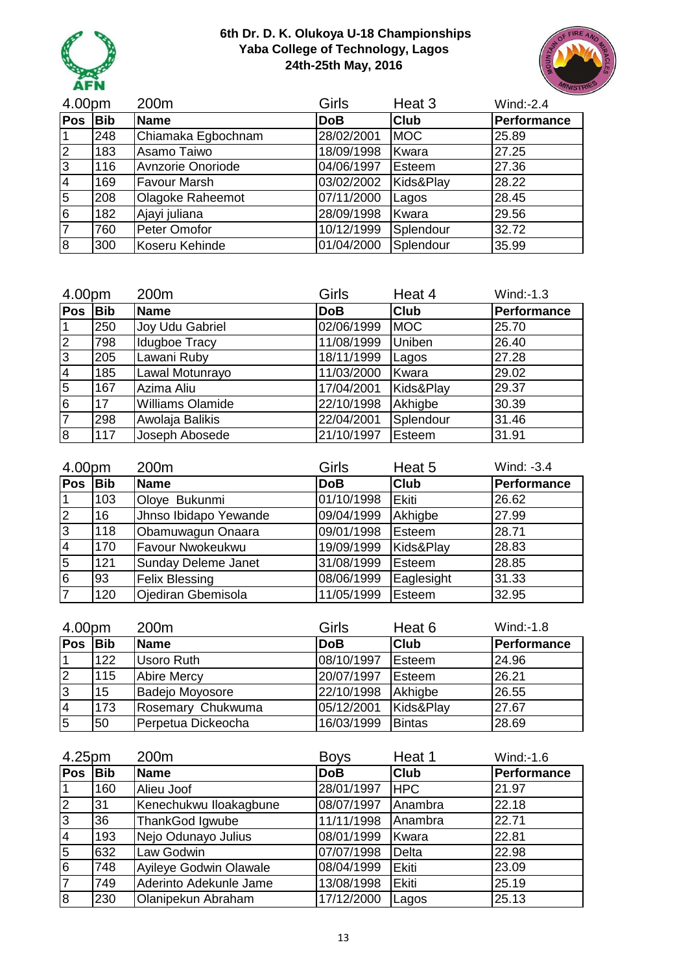



| 4.00pm         |            | 200m                | Girls      | Heat 3      | $Wind: -2.4$ |
|----------------|------------|---------------------|------------|-------------|--------------|
| <b>Pos</b>     | <b>Bib</b> | <b>Name</b>         | <b>DoB</b> | <b>Club</b> | Performance  |
|                | 248        | Chiamaka Egbochnam  | 28/02/2001 | <b>MOC</b>  | 25.89        |
| $\overline{2}$ | 183        | Asamo Taiwo         | 18/09/1998 | Kwara       | 27.25        |
| 3              | 116        | Avnzorie Onoriode   | 04/06/1997 | Esteem      | 27.36        |
| 4              | 169        | <b>Favour Marsh</b> | 03/02/2002 | Kids&Play   | 28.22        |
| 5              | 208        | Olagoke Raheemot    | 07/11/2000 | Lagos       | 28.45        |
| 6              | 182        | Ajayi juliana       | 28/09/1998 | Kwara       | 29.56        |
|                | 760        | Peter Omofor        | 10/12/1999 | Splendour   | 32.72        |
| 8              | 300        | Koseru Kehinde      | 01/04/2000 | Splendour   | 35.99        |

| 4.00pm         |            | 200m                    | Girls      | Heat 4      | Wind:-1.3   |
|----------------|------------|-------------------------|------------|-------------|-------------|
| <b>Pos</b>     | <b>Bib</b> | <b>Name</b>             | <b>DoB</b> | <b>Club</b> | Performance |
| 1              | 250        | Joy Udu Gabriel         | 02/06/1999 | <b>IMOC</b> | 25.70       |
| M              | 798        | Idugboe Tracy           | 11/08/1999 | Uniben      | 26.40       |
| 3              | 205        | Lawani Ruby             | 18/11/1999 | Lagos       | 27.28       |
| $\overline{4}$ | 185        | Lawal Motunrayo         | 11/03/2000 | Kwara       | 29.02       |
| $\overline{5}$ | 167        | Azima Aliu              | 17/04/2001 | Kids&Play   | 29.37       |
| $6\phantom{1}$ | 17         | <b>Williams Olamide</b> | 22/10/1998 | Akhigbe     | 30.39       |
| 7              | 298        | Awolaja Balikis         | 22/04/2001 | Splendour   | 31.46       |
| $\overline{8}$ | 117        | Joseph Abosede          | 21/10/1997 | Esteem      | 31.91       |

| 4.00pm         |     | 200m                       | Girls      | Heat 5        | Wind: -3.4  |
|----------------|-----|----------------------------|------------|---------------|-------------|
| Pos            | Bib | <b>Name</b>                | <b>DoB</b> | <b>Club</b>   | Performance |
|                | 103 | Oloye Bukunmi              | 01/10/1998 | <b>IEkiti</b> | 26.62       |
| $\overline{2}$ | 16  | Jhnso Ibidapo Yewande      | 09/04/1999 | Akhigbe       | 27.99       |
| 3              | 118 | Obamuwagun Onaara          | 09/01/1998 | Esteem        | 28.71       |
| $\overline{4}$ | 170 | Favour Nwokeukwu           | 19/09/1999 | Kids&Play     | 28.83       |
| 5              | 121 | <b>Sunday Deleme Janet</b> | 31/08/1999 | Esteem        | 28.85       |
| 6              | 93  | <b>Felix Blessing</b>      | 08/06/1999 | Eaglesight    | 31.33       |
| $\overline{7}$ | 120 | Ojediran Gbemisola         | 11/05/1999 | Esteem        | 32.95       |

| 4.00pm |            | 200 <sub>m</sub>   | Girls      | Heat 6        | Wind: -1.8  |
|--------|------------|--------------------|------------|---------------|-------------|
| Pos    | <b>Bib</b> | <b>Name</b>        | <b>DoB</b> | <b>Club</b>   | Performance |
|        | 122        | Usoro Ruth         | 08/10/1997 | Esteem        | 24.96       |
| 2      | 115        | <b>Abire Mercy</b> | 20/07/1997 | Esteem        | 26.21       |
| ვ      | 15         | Badejo Moyosore    | 22/10/1998 | Akhigbe       | 26.55       |
| 14     | 173        | Rosemary Chukwuma  | 05/12/2001 | Kids&Play     | 27.67       |
| 5      | 50         | Perpetua Dickeocha | 16/03/1999 | <b>Bintas</b> | 28.69       |

| 4.25pm         |            | 200m                          | <b>Boys</b>             | Heat 1       | Wind:-1.6   |
|----------------|------------|-------------------------------|-------------------------|--------------|-------------|
| Pos            | <b>Bib</b> | <b>Name</b>                   | <b>DoB</b>              | <b>Club</b>  | Performance |
|                | 160        | Alieu Joof                    | 28/01/1997              | <b>HPC</b>   | 21.97       |
| 2              | 31         | Kenechukwu Iloakagbune        | 08/07/1997              | Anambra      | 22.18       |
| 3              | 36         | ThankGod Igwube               | $\frac{1}{11}$ /11/1998 | Anambra      | 22.71       |
| $\overline{4}$ | 193        | Nejo Odunayo Julius           | 08/01/1999              | Kwara        | 22.81       |
| 5              | 632        | Law Godwin                    | 07/07/1998              | <b>Delta</b> | 22.98       |
| 6              | 748        | <b>Ayileye Godwin Olawale</b> | 08/04/1999              | Ekiti        | 23.09       |
| $\overline{7}$ | 749        | Aderinto Adekunle Jame        | 13/08/1998              | Ekiti        | 25.19       |
| 8              | 230        | Olanipekun Abraham            | 17/12/2000              | Lagos        | 25.13       |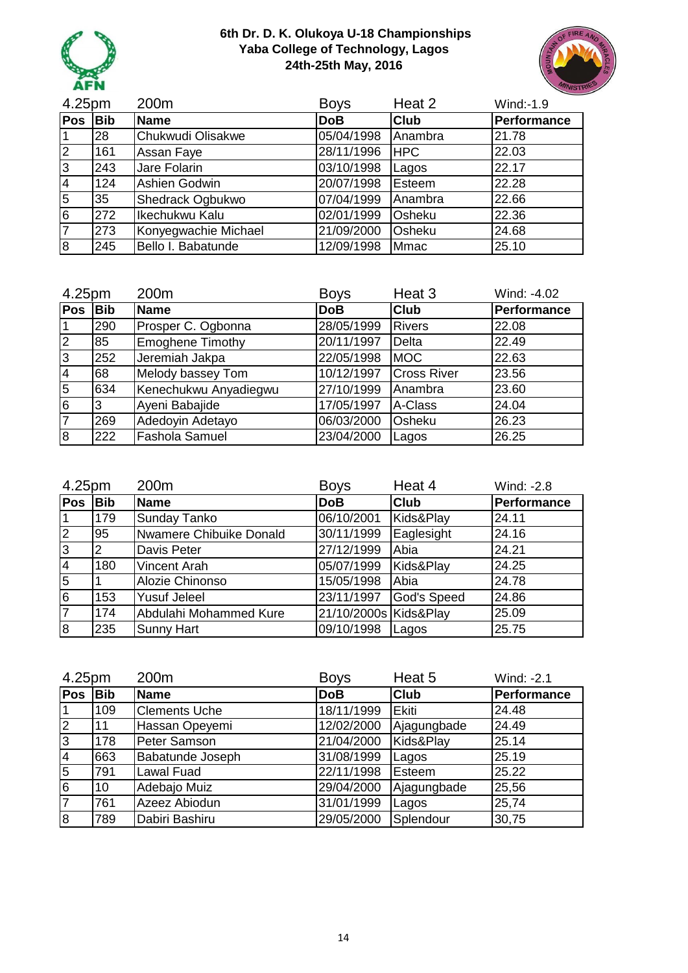



| 4.25pm         |            | 200m                    | <b>Boys</b> | Heat 2      | Wind:-1.9   |
|----------------|------------|-------------------------|-------------|-------------|-------------|
| <b>Pos</b>     | <b>Bib</b> | <b>Name</b>             | <b>DoB</b>  | <b>Club</b> | Performance |
|                | 28         | Chukwudi Olisakwe       | 05/04/1998  | Anambra     | 21.78       |
| $\overline{2}$ | 161        | Assan Faye              | 28/11/1996  | <b>HPC</b>  | 22.03       |
| 3              | 243        | Jare Folarin            | 03/10/1998  | Lagos       | 22.17       |
| 4              | 124        | Ashien Godwin           | 20/07/1998  | Esteem      | 22.28       |
| $\overline{5}$ | 35         | <b>Shedrack Ogbukwo</b> | 07/04/1999  | Anambra     | 22.66       |
| 6              | 272        | Ikechukwu Kalu          | 02/01/1999  | Osheku      | 22.36       |
|                | 273        | Konyegwachie Michael    | 21/09/2000  | Osheku      | 24.68       |
| 8              | 245        | Bello I. Babatunde      | 12/09/1998  | <b>Mmac</b> | 25.10       |

| 4.25pm         |     | 200m                    | <b>Boys</b> | Heat 3             | Wind: -4.02 |
|----------------|-----|-------------------------|-------------|--------------------|-------------|
| <b>Pos</b>     | Bib | <b>Name</b>             | <b>DoB</b>  | <b>Club</b>        | Performance |
|                | 290 | Prosper C. Ogbonna      | 28/05/1999  | <b>Rivers</b>      | 22.08       |
| $\overline{2}$ | 85  | <b>Emoghene Timothy</b> | 20/11/1997  | Delta              | 22.49       |
| 3              | 252 | Jeremiah Jakpa          | 22/05/1998  | <b>MOC</b>         | 22.63       |
| $\overline{4}$ | 68  | Melody bassey Tom       | 10/12/1997  | <b>Cross River</b> | 23.56       |
| 5              | 634 | Kenechukwu Anyadiegwu   | 27/10/1999  | Anambra            | 23.60       |
| 6              | 3   | Ayeni Babajide          | 17/05/1997  | A-Class            | 24.04       |
| $\overline{7}$ | 269 | Adedoyin Adetayo        | 06/03/2000  | Osheku             | 26.23       |
| 8              | 222 | Fashola Samuel          | 23/04/2000  | Lagos              | 26.25       |

| 4.25pm         |                | 200m                    | <b>Boys</b>           | Heat 4      | Wind: -2.8  |
|----------------|----------------|-------------------------|-----------------------|-------------|-------------|
| Pos            | <b>Bib</b>     | <b>Name</b>             | <b>DoB</b>            | <b>Club</b> | Performance |
|                | 179            | <b>Sunday Tanko</b>     | 06/10/2001            | Kids&Play   | 24.11       |
| $\overline{2}$ | 95             | Nwamere Chibuike Donald | 30/11/1999            | Eaglesight  | 24.16       |
| l3             | $\overline{2}$ | Davis Peter             | 27/12/1999            | Abia        | 24.21       |
| $\overline{4}$ | 180            | Vincent Arah            | 05/07/1999            | Kids&Play   | 24.25       |
| 5              |                | Alozie Chinonso         | 15/05/1998            | Abia        | 24.78       |
| l6             | 153            | <b>Yusuf Jeleel</b>     | 23/11/1997            | God's Speed | 24.86       |
| $\overline{7}$ | 174            | Abdulahi Mohammed Kure  | 21/10/2000s Kids&Play |             | 25.09       |
| 8              | 235            | <b>Sunny Hart</b>       | 09/10/1998            | Lagos       | 25.75       |

| 4.25pm         |            | 200m                    | <b>Boys</b> | Heat 5      | Wind: -2.1  |
|----------------|------------|-------------------------|-------------|-------------|-------------|
| <b>Pos</b>     | <b>Bib</b> | Name                    | <b>DoB</b>  | <b>Club</b> | Performance |
|                | 109        | <b>Clements Uche</b>    | 18/11/1999  | Ekiti       | 24.48       |
| $\overline{2}$ | 11         | Hassan Opeyemi          | 12/02/2000  | Ajagungbade | 24.49       |
| 3              | 178        | Peter Samson            | 21/04/2000  | Kids&Play   | 25.14       |
| $\overline{4}$ | 663        | <b>Babatunde Joseph</b> | 31/08/1999  | Lagos       | 25.19       |
| 5              | 791        | <b>Lawal Fuad</b>       | 22/11/1998  | Esteem      | 25.22       |
| 6              | 10         | Adebajo Muiz            | 29/04/2000  | Ajagungbade | 25,56       |
|                | 761        | Azeez Abiodun           | 31/01/1999  | Lagos       | 25,74       |
| 8              | 789        | Dabiri Bashiru          | 29/05/2000  | Splendour   | 30,75       |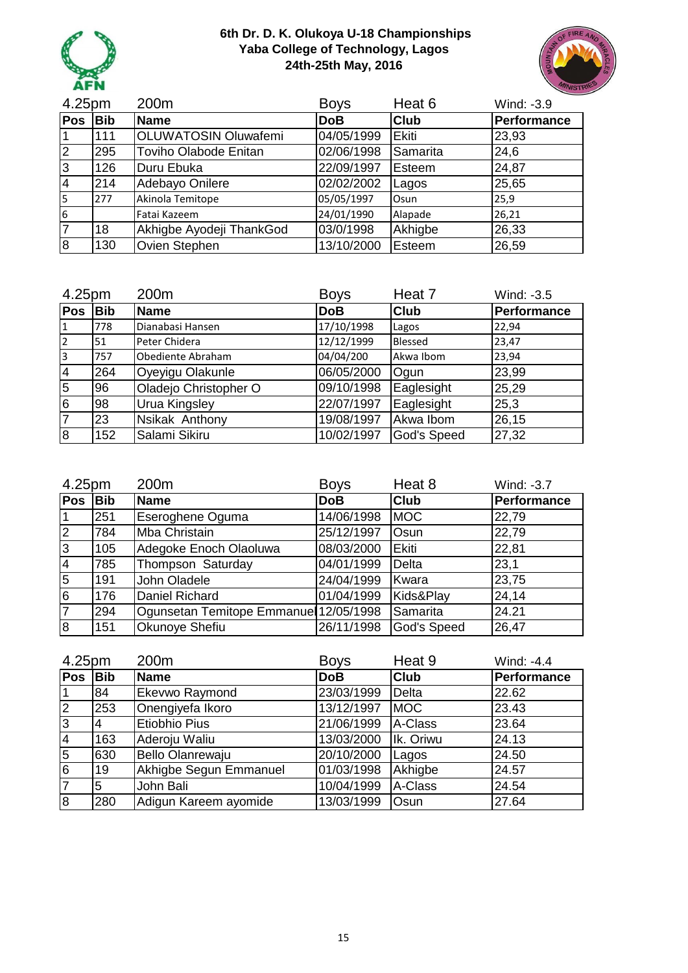



| 4.25pm     |            | 200m                         | <b>Boys</b> | Heat 6      | Wind: -3.9  |
|------------|------------|------------------------------|-------------|-------------|-------------|
| <b>Pos</b> | <b>Bib</b> | <b>Name</b>                  | <b>DoB</b>  | <b>Club</b> | Performance |
|            | 111        | <b>OLUWATOSIN Oluwafemi</b>  | 04/05/1999  | Ekiti       | 23,93       |
| 2          | 295        | <b>Toviho Olabode Enitan</b> | 02/06/1998  | Samarita    | 24,6        |
| 3          | 126        | Duru Ebuka                   | 22/09/1997  | Esteem      | 24,87       |
| 4          | 214        | Adebayo Onilere              | 02/02/2002  | Lagos       | 25,65       |
| 5          | 277        | Akinola Temitope             | 05/05/1997  | Osun        | 25,9        |
| 6          |            | Fatai Kazeem                 | 24/01/1990  | Alapade     | 26,21       |
|            | 18         | Akhigbe Ayodeji ThankGod     | 03/0/1998   | Akhigbe     | 26,33       |
| 8          | 130        | Ovien Stephen                | 13/10/2000  | Esteem      | 26,59       |

| 4.25pm         |            | 200m                  | <b>Boys</b> | Heat 7             | Wind: -3.5  |
|----------------|------------|-----------------------|-------------|--------------------|-------------|
| Pos            | <b>Bib</b> | <b>Name</b>           | <b>DoB</b>  | <b>Club</b>        | Performance |
| 1              | 778        | Dianabasi Hansen      | 17/10/1998  | Lagos              | 22,94       |
| $\overline{2}$ | 151        | Peter Chidera         | 12/12/1999  | <b>Blessed</b>     | 23,47       |
| <sub>3</sub>   | 757        | Obediente Abraham     | 04/04/200   | Akwa Ibom          | 23,94       |
| $\overline{4}$ | 264        | Oyeyigu Olakunle      | 06/05/2000  | Ogun               | 23,99       |
| 5              | 96         | Oladejo Christopher O | 09/10/1998  | Eaglesight         | 25,29       |
| l6             | 98         | <b>Urua Kingsley</b>  | 22/07/1997  | Eaglesight         | 25,3        |
| $\overline{7}$ | 23         | Nsikak Anthony        | 19/08/1997  | Akwa Ibom          | 26,15       |
| $\overline{8}$ | 152        | Salami Sikiru         | 10/02/1997  | <b>God's Speed</b> | 27,32       |

| 4.25pm         |            | 200m                                   | <b>Boys</b> | Heat 8      | Wind: -3.7  |
|----------------|------------|----------------------------------------|-------------|-------------|-------------|
| Pos            | <b>Bib</b> | <b>Name</b>                            | <b>DoB</b>  | <b>Club</b> | Performance |
|                | 251        | Eseroghene Oguma                       | 14/06/1998  | <b>MOC</b>  | 22,79       |
| $\overline{2}$ | 784        | <b>Mba Christain</b>                   | 25/12/1997  | <b>Osun</b> | 22,79       |
| l3             | 105        | Adegoke Enoch Olaoluwa                 | 08/03/2000  | Ekiti       | 22,81       |
| $\overline{4}$ | 785        | Thompson Saturday                      | 04/01/1999  | Delta       | 23,1        |
| 5              | 191        | John Oladele                           | 24/04/1999  | Kwara       | 23,75       |
| l6             | 176        | Daniel Richard                         | 01/04/1999  | Kids&Play   | 24,14       |
| $\overline{7}$ | 294        | Ogunsetan Temitope Emmanuel 12/05/1998 |             | Samarita    | 24.21       |
| $\overline{8}$ | 151        | Okunoye Shefiu                         | 26/11/1998  | God's Speed | 26,47       |

| 4.25pm         |            | 200m                    | <b>Boys</b> | Heat 9       | Wind: -4.4  |
|----------------|------------|-------------------------|-------------|--------------|-------------|
| <b>Pos</b>     | <b>Bib</b> | <b>Name</b>             | <b>DoB</b>  | <b>Club</b>  | Performance |
|                | 84         | <b>Ekevwo Raymond</b>   | 23/03/1999  | <b>Delta</b> | 22.62       |
| 2              | 253        | Onengiyefa Ikoro        | 13/12/1997  | <b>MOC</b>   | 23.43       |
| 3              | 4          | Etiobhio Pius           | 21/06/1999  | A-Class      | 23.64       |
| $\overline{4}$ | 163        | Aderoju Waliu           | 13/03/2000  | Ik. Oriwu    | 24.13       |
| 5              | 630        | <b>Bello Olanrewaju</b> | 20/10/2000  | Lagos        | 24.50       |
| İ6             | 19         | Akhigbe Segun Emmanuel  | 01/03/1998  | Akhigbe      | 24.57       |
|                | 5          | John Bali               | 10/04/1999  | A-Class      | 24.54       |
| $\overline{8}$ | 280        | Adigun Kareem ayomide   | 13/03/1999  | Osun         | 27.64       |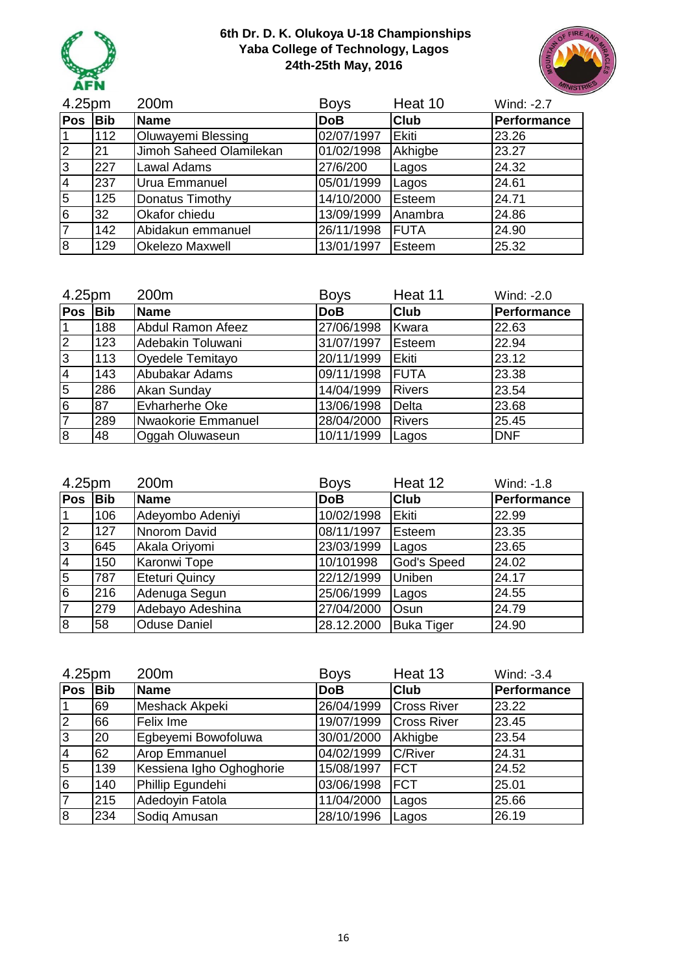



| 4.25pm         |            | 200m                    | <b>Boys</b> | Heat 10     | Wind: -2.7  |
|----------------|------------|-------------------------|-------------|-------------|-------------|
| <b>Pos</b>     | <b>Bib</b> | <b>Name</b>             | <b>DoB</b>  | <b>Club</b> | Performance |
|                | 112        | Oluwayemi Blessing      | 02/07/1997  | Ekiti       | 23.26       |
| 2              | 21         | Jimoh Saheed Olamilekan | 01/02/1998  | Akhigbe     | 23.27       |
| lЗ             | 227        | <b>Lawal Adams</b>      | 27/6/200    | Lagos       | 24.32       |
| $\overline{4}$ | 237        | Urua Emmanuel           | 05/01/1999  | Lagos       | 24.61       |
| $\overline{5}$ | 125        | Donatus Timothy         | 14/10/2000  | Esteem      | 24.71       |
| İ6             | 32         | Okafor chiedu           | 13/09/1999  | Anambra     | 24.86       |
|                | 142        | Abidakun emmanuel       | 26/11/1998  | <b>FUTA</b> | 24.90       |
| 8              | 129        | <b>Okelezo Maxwell</b>  | 13/01/1997  | Esteem      | 25.32       |

| 4.25pm         |            | 200m                     | <b>Boys</b> | Heat 11       | Wind: -2.0  |
|----------------|------------|--------------------------|-------------|---------------|-------------|
| <b>Pos</b>     | <b>Bib</b> | <b>Name</b>              | <b>DoB</b>  | <b>Club</b>   | Performance |
| 1              | 188        | <b>Abdul Ramon Afeez</b> | 27/06/1998  | Kwara         | 22.63       |
| $\overline{2}$ | 123        | Adebakin Toluwani        | 31/07/1997  | Esteem        | 22.94       |
| l3             | 113        | Oyedele Temitayo         | 20/11/1999  | <b>Ekiti</b>  | 23.12       |
| $\overline{4}$ | 143        | Abubakar Adams           | 09/11/1998  | <b>IFUTA</b>  | 23.38       |
| 5              | 286        | Akan Sunday              | 14/04/1999  | <b>Rivers</b> | 23.54       |
| $\overline{6}$ | 87         | Evharherhe Oke           | 13/06/1998  | Delta         | 23.68       |
| $\overline{7}$ | 289        | Nwaokorie Emmanuel       | 28/04/2000  | <b>Rivers</b> | 25.45       |
| 18             | 48         | Oggah Oluwaseun          | 10/11/1999  | Lagos         | <b>DNF</b>  |

| 4.25pm         |            | 200m                  | <b>Boys</b> | Heat 12            | Wind: -1.8  |
|----------------|------------|-----------------------|-------------|--------------------|-------------|
| <b>Pos</b>     | <b>Bib</b> | <b>Name</b>           | <b>DoB</b>  | <b>Club</b>        | Performance |
|                | 106        | Adeyombo Adeniyi      | 10/02/1998  | <b>Ekiti</b>       | 22.99       |
| $\overline{2}$ | 127        | Nnorom David          | 08/11/1997  | Esteem             | 23.35       |
| 3              | 645        | Akala Oriyomi         | 23/03/1999  | Lagos              | 23.65       |
| $\overline{4}$ | 150        | Karonwi Tope          | 10/101998   | <b>God's Speed</b> | 24.02       |
| 5              | 787        | <b>Eteturi Quincy</b> | 22/12/1999  | Uniben             | 24.17       |
| l6             | 216        | Adenuga Segun         | 25/06/1999  | Lagos              | 24.55       |
| $\overline{7}$ | 279        | Adebayo Adeshina      | 27/04/2000  | <b>Osun</b>        | 24.79       |
| $\overline{8}$ | 58         | <b>Oduse Daniel</b>   | 28.12.2000  | <b>Buka Tiger</b>  | 24.90       |

| 4.25pm         |     | 200m                     | <b>Boys</b> | Heat 13            | Wind: -3.4  |
|----------------|-----|--------------------------|-------------|--------------------|-------------|
| Pos            | Bib | Name                     | <b>DoB</b>  | <b>Club</b>        | Performance |
|                | 69  | Meshack Akpeki           | 26/04/1999  | <b>Cross River</b> | 23.22       |
| $\overline{2}$ | 66  | Felix Ime                | 19/07/1999  | <b>Cross River</b> | 23.45       |
| З              | 20  | Egbeyemi Bowofoluwa      | 30/01/2000  | Akhigbe            | 23.54       |
| $\overline{4}$ | 62  | <b>Arop Emmanuel</b>     | 04/02/1999  | <b>C/River</b>     | 24.31       |
| 5              | 139 | Kessiena Igho Oghoghorie | 15/08/1997  | <b>FCT</b>         | 24.52       |
| $6\phantom{1}$ | 140 | Phillip Egundehi         | 03/06/1998  | <b>IFCT</b>        | 25.01       |
| 17             | 215 | Adedoyin Fatola          | 11/04/2000  | Lagos              | 25.66       |
| l8             | 234 | Sodig Amusan             | 28/10/1996  | Lagos              | 26.19       |